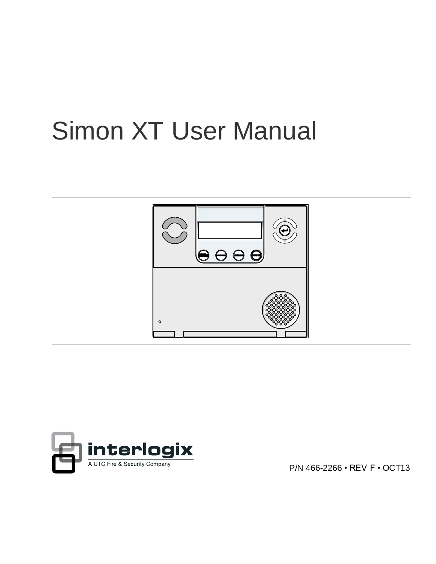# Simon XT User Manual





P/N 466-2266 • REV F • OCT13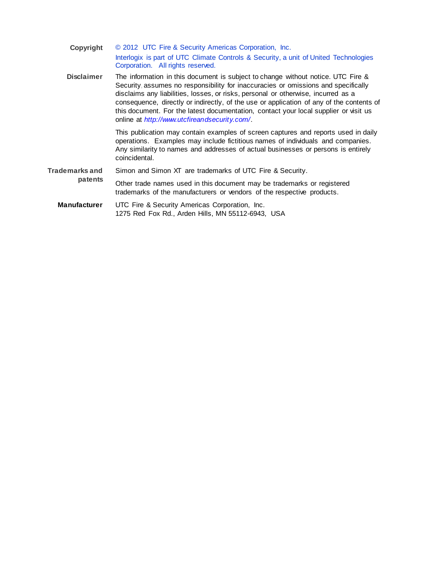| Copyright             | © 2012 UTC Fire & Security Americas Corporation, Inc.                                                                                                                                                                                                                                                                                                                                                                                                                                           |
|-----------------------|-------------------------------------------------------------------------------------------------------------------------------------------------------------------------------------------------------------------------------------------------------------------------------------------------------------------------------------------------------------------------------------------------------------------------------------------------------------------------------------------------|
|                       | Interlogix is part of UTC Climate Controls & Security, a unit of United Technologies<br>Corporation. All rights reserved.                                                                                                                                                                                                                                                                                                                                                                       |
| <b>Disclaimer</b>     | The information in this document is subject to change without notice. UTC Fire &<br>Security assumes no responsibility for inaccuracies or omissions and specifically<br>disclaims any liabilities, losses, or risks, personal or otherwise, incurred as a<br>consequence, directly or indirectly, of the use or application of any of the contents of<br>this document. For the latest documentation, contact your local supplier or visit us<br>online at http://www.utcfireandsecurity.com/. |
|                       | This publication may contain examples of screen captures and reports used in daily<br>operations. Examples may include fictitious names of individuals and companies.<br>Any similarity to names and addresses of actual businesses or persons is entirely<br>coincidental.                                                                                                                                                                                                                     |
| <b>Trademarks and</b> | Simon and Simon XT are trademarks of UTC Fire & Security.                                                                                                                                                                                                                                                                                                                                                                                                                                       |
| patents               | Other trade names used in this document may be trademarks or registered<br>trademarks of the manufacturers or vendors of the respective products.                                                                                                                                                                                                                                                                                                                                               |
| <b>Manufacturer</b>   | UTC Fire & Security Americas Corporation, Inc.<br>1275 Red Fox Rd., Arden Hills, MN 55112-6943, USA                                                                                                                                                                                                                                                                                                                                                                                             |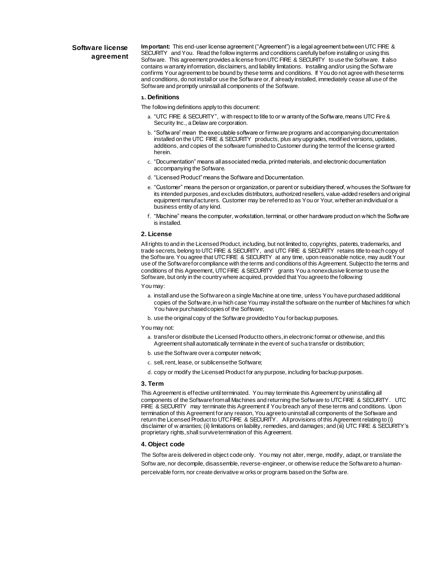#### **Software license agreement**

**Important:** This end-user license agreement ("Agreement") is a legal agreement between UTC FIRE & SECURITY and You. Read the follow ing terms and conditions carefully before installing or using this Software. This agreement provides a license from UTC FIRE & SECURITY to use the Software. It also contains warranty information, disclaimers, and liability limitations. Installing and/or using the Software confirms Your agreement to be bound by these terms and conditions. If You do not agree with these terms and conditions, do not install or use the Software or, if already installed, immediately cease all use of the Software and promptly uninstall all components of the Software.

#### **1. Definitions**

The following definitions apply to this document:

- a. "UTC FIRE & SECURITY", w ith respect to title to or w arranty of the Software, means UTC Fire & Security Inc., a Delaw are corporation.
- b. "Software" mean the executable software or firmware programs and accompanying documentation installed on the UTC FIRE & SECURITY products, plus any upgrades, modified versions, updates, additions, and copies of the software furnished to Customer during the term of the license granted herein.
- c. "Documentation" means all associated media, printed materials, and electronic documentation accompanying the Software.
- d. "Licensed Product" means the Software and Documentation.
- e. "Customer" means the person or organization, or parent or subsidiary thereof, who uses the Software for its intended purposes, and excludes distributors, authorized resellers, value-added resellers and original equipment manufacturers. Customer may be referred to as You or Your, whether an individual or a business entity of any kind.
- f. "Machine" means the computer, workstation, terminal, or other hardware product on which the Software is installed.

#### **2. License**

All rights to and in the Licensed Product, including, but not limited to, copyrights, patents, trademarks, and trade secrets, belong to UTC FIRE & SECURITY, and UTC FIRE & SECURITY retains title to each copy of the Software. You agree that UTC FIRE & SECURITY at any time, upon reasonable notice, may audit Your use of the Software for compliance with the terms and conditions of this Agreement. Subject to the terms and conditions of this Agreement, UTC FIRE & SECURITY grants You a nonexclusive license to use the Software, but only in the country where acquired, provided that You agree to the following:

#### You may:

- a. install and use the Software on a single Machine at one time, unless You have purchased additional copies of the Software, in w hich case You may install the software on the number of Machines for which You have purchased copies of the Software;
- b. use the original copy of the Software provided to You for backup purposes.

#### You may not:

- a. transfer or distribute the Licensed Productto others, in electronic format or otherwise, and this Agreement shall automatically terminate in the event of such a transfer or distribution;
- b. use the Software over a computer network;
- c. sell, rent, lease, or sublicense the Software;
- d. copy or modify the Licensed Product for any purpose, including for backup purposes.

#### **3. Term**

This Agreement is effective until terminated. You may terminate this Agreement by uninstalling all components of the Software from all Machines and returning the Software to UTC FIRE & SECURITY. UTC FIRE & SECURITY may terminate this Agreement if You breach any of these terms and conditions. Upon termination of this Agreement for any reason, You agree to uninstall all components of the Software and return the Licensed Product to UTC FIRE & SECURITY. All provisions of this Agreement relating to (i) disclaimer of w arranties; (ii) limitations on liability, remedies, and damages; and (iii) UTC FIRE & SECURITY's proprietary rights, shall survive termination of this Agreement.

#### **4. Object code**

The Softw are is delivered in object code only. You may not alter, merge, modify, adapt, or translate the Softw are, nor decompile, disassemble, reverse-engineer, or otherwise reduce the Software to a humanperceivable form, nor create derivative w orks or programs based on the Softw are.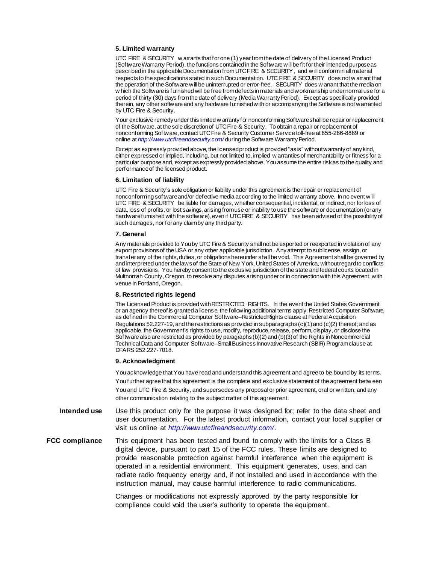#### **5. Limited warranty**

UTC FIRE & SECURITY w arrants that for one (1) year from the date of delivery of the Licensed Product (Software Warranty Period), the functions contained in the Software will be fit for their intended purpose as described in the applicable Documentation from UTC FIRE & SECURITY, and w ill conform in all material respects to the specifications stated in such Documentation. UTC FIRE & SECURITY does not w arrant that the operation of the Software will be uninterrupted or error-free. SECURITY does w arrant that the media on w hich the Software is furnished will be free from defects in materials and workmanship under normal use for a period of thirty (30) days from the date of delivery (Media Warranty Period). Except as specifically provided therein, any other software and any hardware furnished with or accompanying the Software is not warranted by UTC Fire & Security.

Your exclusive remedy under this limited w arranty for nonconforming Software shall be repair or replacement of the Software, at the sole discretion of UTC Fire & Security. To obtain a repair or replacement of online at *<http://www.utcfireandsecurity.com/>* during the Software Warranty Period. nonconforming Software, contact UTC Fire & Security Customer Service toll-free at 855-286-8889 or

Except as expressly provided above, the licensed product is provided "as is" without warranty of any kind, either expressed or implied, including, but not limited to, implied w arranties of merchantability or fitness for a particular purpose and, except as expressly provided above, You assume the entire risk as to the quality and performance of the licensed product.

#### **6. Limitation of liability**

UTC Fire & Security's sole obligation or liability under this agreement is the repair or replacement of nonconforming software and/or defective media according to the limited w arranty above. In no event w ill UTC FIRE & SECURITY be liable for damages, whether consequential, incidental, or indirect, nor for loss of data, loss of profits, or lost savings, arising from use or inability to use the software or documentation (or any hardware furnished with the software), even if UTC FIRE & SECURITY has been advised of the possibility of such damages, nor for any claim by any third party.

#### **7. General**

Any materials provided to You by UTC Fire & Security shall not be exported or reexported in violation of any export provisions of the USA or any other applicable jurisdiction. Any attempt to sublicense, assign, or transfer any of the rights, duties, or obligations hereunder shall be void. This Agreement shall be governed by and interpreted under the laws of the State of New York, United States of America, without regard to conflicts of law provisions. You hereby consent to the exclusive jurisdiction of the state and federal courts located in Multnomah County, Oregon, to resolve any disputes arising under or in connection with this Agreement, with venue in Portland, Oregon.

#### **8. Restricted rights legend**

The Licensed Product is provided with RESTRICTED RIGHTS. In the event the United States Government or an agency thereof is granted a license, the following additional terms apply: Restricted Computer Software, as defined in the Commercial Computer Software–Restricted Rights clause at Federal Acquisition Regulations 52.227-19, and the restrictions as provided in subparagraphs (c)(1) and (c)(2) thereof; and as applicable, the Government's rights to use, modify, reproduce, release, perform, display, or disclose the Software also are restricted as provided by paragraphs (b)(2) and (b)(3) of the Rights in Noncommercial Technical Data and Computer Software–Small Business Innovative Research (SBIR) Program clause at DFARS 252.227-7018.

#### **9. Acknowledgment**

You acknow ledge that You have read and understand this agreement and agree to be bound by its terms. You further agree that this agreement is the complete and exclusive statement of the agreement betw een You and UTC Fire & Security, and supersedes any proposal or prior agreement, oral or w ritten, and any other communication relating to the subject matter of this agreement.

- **Intended use** Use this product only for the purpose it was designed for; refer to the data sheet and user documentation. For the latest product information, contact your local supplier or visit us online at *<http://www.utcfireandsecurity.com/>*.
- **FCC compliance** This equipment has been tested and found to comply with the limits for a Class B digital device, pursuant to part 15 of the FCC rules. These limits are designed to provide reasonable protection against harmful interference when the equipment is operated in a residential environment. This equipment generates, uses, and can radiate radio frequency energy and, if not installed and used in accordance with the instruction manual, may cause harmful interference to radio communications.

Changes or modifications not expressly approved by the party responsible for compliance could void the user's authority to operate the equipment.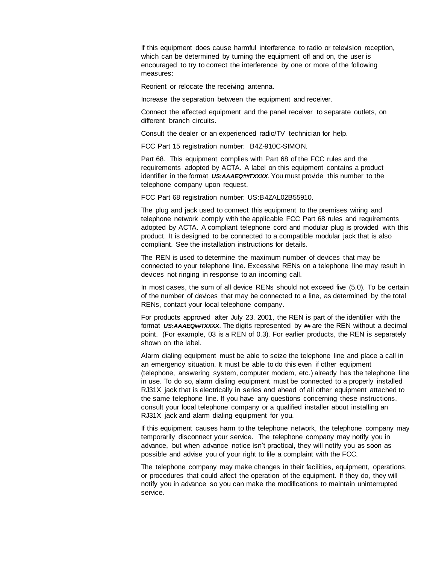If this equipment does cause harmful interference to radio or television reception, which can be determined by turning the equipment off and on, the user is encouraged to try to correct the interference by one or more of the following measures:

Reorient or relocate the receiving antenna.

Increase the separation between the equipment and receiver.

Connect the affected equipment and the panel receiver to separate outlets, on different branch circuits.

Consult the dealer or an experienced radio/TV technician for help.

FCC Part 15 registration number: B4Z-910C-SIMON.

Part 68. This equipment complies with Part 68 of the FCC rules and the requirements adopted by ACTA. A label on this equipment contains a product identifier in the format *US:AAAEQ##TXXXX*. You must provide this number to the telephone company upon request.

FCC Part 68 registration number: US:B4ZAL02B55910.

The plug and jack used to connect this equipment to the premises wiring and telephone network comply with the applicable FCC Part 68 rules and requirements adopted by ACTA. A compliant telephone cord and modular plug is provided with this product. It is designed to be connected to a compatible modular jack that is also compliant. See the installation instructions for details.

The REN is used to determine the maximum number of devices that may be connected to your telephone line. Excessive RENs on a telephone line may result in devices not ringing in response to an incoming call.

In most cases, the sum of all device RENs should not exceed five (5.0). To be certain of the number of devices that may be connected to a line, as determined by the total RENs, contact your local telephone company.

For products approved after July 23, 2001, the REN is part of the identifier with the format *US:AAAEQ##TXXXX*. The digits represented by *##* are the REN without a decimal point. (For example, 03 is a REN of 0.3). For earlier products, the REN is separately shown on the label.

Alarm dialing equipment must be able to seize the telephone line and place a call in an emergency situation. It must be able to do this even if other equipment (telephone, answering system, computer modem, etc.) already has the telephone line in use. To do so, alarm dialing equipment must be connected to a properly installed RJ31X jack that is electrically in series and ahead of all other equipment attached to the same telephone line. If you have any questions concerning these instructions, consult your local telephone company or a qualified installer about installing an RJ31X jack and alarm dialing equipment for you.

If this equipment causes harm to the telephone network, the telephone company may temporarily disconnect your service. The telephone company may notify you in advance, but when advance notice isn't practical, they will notify you as soon as possible and advise you of your right to file a complaint with the FCC.

The telephone company may make changes in their facilities, equipment, operations, or procedures that could affect the operation of the equipment. If they do, they will notify you in advance so you can make the modifications to maintain uninterrupted service.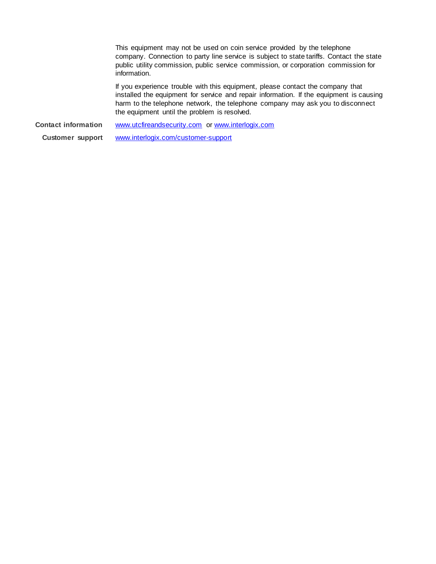This equipment may not be used on coin service provided by the telephone company. Connection to party line service is subject to state tariffs. Contact the state public utility commission, public service commission, or corporation commission for information.

If you experience trouble with this equipment, please contact the company that installed the equipment for service and repair information. If the equipment is causing harm to the telephone network, the telephone company may ask you to disconnect the equipment until the problem is resolved.

**Contact information [www.utcfireandsecurity.com](http://www.utcfireandsecurity.com/)** or [www.interlogix.com](http://www.interlogix.com/)

**Customer support** [www.interlogix.com/customer-support](http://www.interlogix.com/customer-support)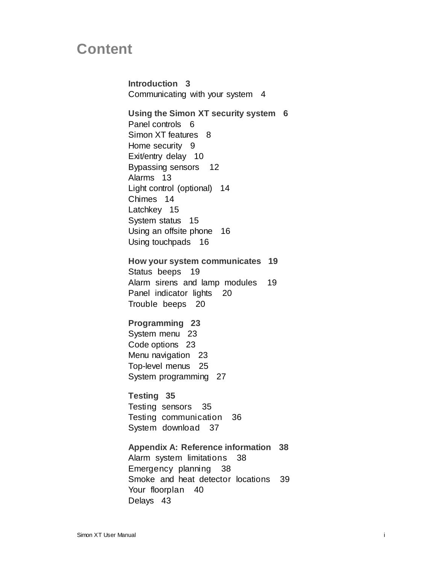## **Content**

**Introduction 3** Communicating with your system 4 **Using the Simon XT security system 6** Panel controls 6 Simon XT features 8 Home security 9 Exit/entry delay 10 Bypassing sensors 12 Alarms 13 Light control (optional) 14 Chimes 14 Latchkey 15 System status 15 Using an offsite phone 16 Using touchpads 16 **How your system communicates 19** Status beeps 19 Alarm sirens and lamp modules 19 Panel indicator lights 20 Trouble beeps 20 **Programming 23**

System menu 23 Code options 23 Menu navigation 23 Top-level menus 25 System programming 27

**Testing 35** Testing sensors 35 Testing communication 36 System download 37

**Appendix A: Reference information 38** Alarm system limitations 38 Emergency planning 38 Smoke and heat detector locations 39 Your floorplan 40 Delays 43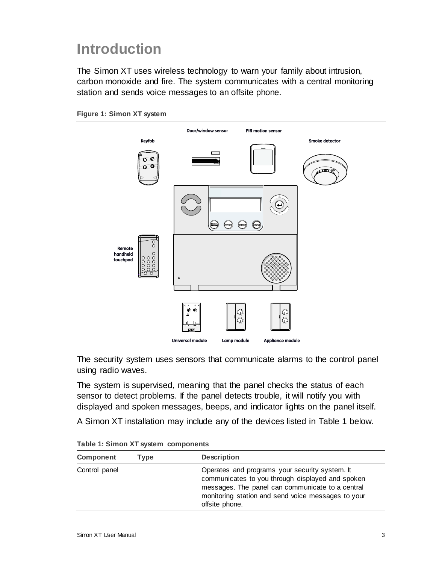# **Introduction**

The Simon XT uses wireless technology to warn your family about intrusion, carbon monoxide and fire. The system communicates with a central monitoring station and sends voice messages to an offsite phone.





The security system uses sensors that communicate alarms to the control panel using radio waves.

The system is supervised, meaning that the panel checks the status of each sensor to detect problems. If the panel detects trouble, it will notify you with displayed and spoken messages, beeps, and indicator lights on the panel itself.

A Simon XT installation may include any of the devices listed in Table 1 below.

| Component     | Tvpe | <b>Description</b>                                                                                                                                                                                                             |
|---------------|------|--------------------------------------------------------------------------------------------------------------------------------------------------------------------------------------------------------------------------------|
| Control panel |      | Operates and programs your security system. It<br>communicates to you through displayed and spoken<br>messages. The panel can communicate to a central<br>monitoring station and send voice messages to your<br>offsite phone. |

**Table 1: Simon XT system components**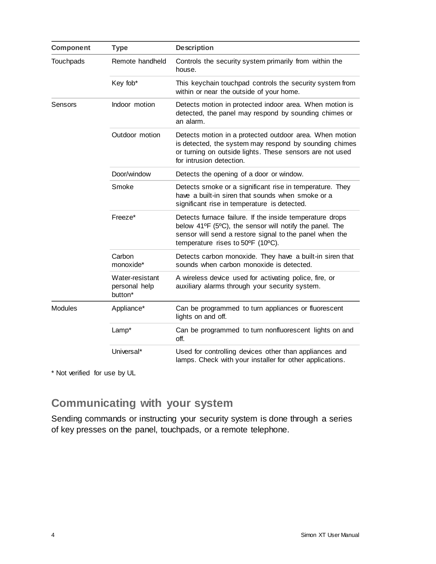| <b>Component</b> | <b>Type</b>                                 | <b>Description</b>                                                                                                                                                                                                  |  |
|------------------|---------------------------------------------|---------------------------------------------------------------------------------------------------------------------------------------------------------------------------------------------------------------------|--|
| Touchpads        | Remote handheld                             | Controls the security system primarily from within the<br>house.                                                                                                                                                    |  |
|                  | Key fob*                                    | This keychain touchpad controls the security system from<br>within or near the outside of your home.                                                                                                                |  |
| Sensors          | Indoor motion                               | Detects motion in protected indoor area. When motion is<br>detected, the panel may respond by sounding chimes or<br>an alarm.                                                                                       |  |
|                  | Outdoor motion                              | Detects motion in a protected outdoor area. When motion<br>is detected, the system may respond by sounding chimes<br>or turning on outside lights. These sensors are not used<br>for intrusion detection.           |  |
|                  | Door/window                                 | Detects the opening of a door or window.                                                                                                                                                                            |  |
|                  | Smoke                                       | Detects smoke or a significant rise in temperature. They<br>have a built-in siren that sounds when smoke or a<br>significant rise in temperature is detected.                                                       |  |
|                  | Freeze*                                     | Detects furnace failure. If the inside temperature drops<br>below 41°F (5°C), the sensor will notify the panel. The<br>sensor will send a restore signal to the panel when the<br>temperature rises to 50°F (10°C). |  |
|                  | Carbon<br>monoxide*                         | Detects carbon monoxide. They have a built-in siren that<br>sounds when carbon monoxide is detected.                                                                                                                |  |
|                  | Water-resistant<br>personal help<br>button* | A wireless device used for activating police, fire, or<br>auxiliary alarms through your security system.                                                                                                            |  |
| <b>Modules</b>   | Appliance*                                  | Can be programmed to turn appliances or fluorescent<br>lights on and off.                                                                                                                                           |  |
|                  | Lamp*                                       | Can be programmed to turn nonfluorescent lights on and<br>off.                                                                                                                                                      |  |
|                  | Universal*                                  | Used for controlling devices other than appliances and<br>lamps. Check with your installer for other applications.                                                                                                  |  |

\* Not verified for use by UL

### **Communicating with your system**

Sending commands or instructing your security system is done through a series of key presses on the panel, touchpads, or a remote telephone.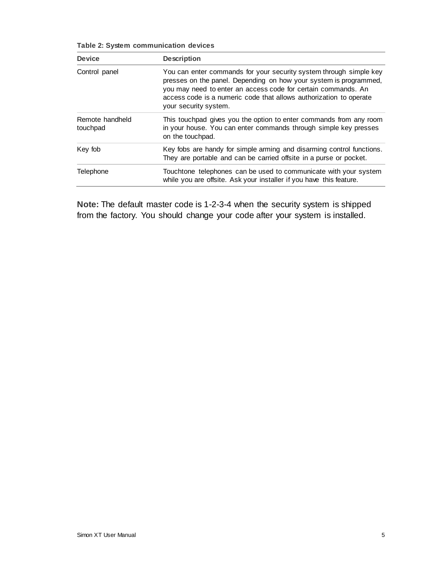| Table 2: System communication devices |
|---------------------------------------|
|---------------------------------------|

| <b>Device</b>               | <b>Description</b>                                                                                                                                                                                                                                                                                      |
|-----------------------------|---------------------------------------------------------------------------------------------------------------------------------------------------------------------------------------------------------------------------------------------------------------------------------------------------------|
| Control panel               | You can enter commands for your security system through simple key<br>presses on the panel. Depending on how your system is programmed,<br>you may need to enter an access code for certain commands. An<br>access code is a numeric code that allows authorization to operate<br>your security system. |
| Remote handheld<br>touchpad | This touchpad gives you the option to enter commands from any room<br>in your house. You can enter commands through simple key presses<br>on the touchpad.                                                                                                                                              |
| Key fob                     | Key fobs are handy for simple arming and disarming control functions.<br>They are portable and can be carried offsite in a purse or pocket.                                                                                                                                                             |
| Telephone                   | Touchtone telephones can be used to communicate with your system<br>while you are offsite. Ask your installer if you have this feature.                                                                                                                                                                 |

**Note:** The default master code is 1-2-3-4 when the security system is shipped from the factory. You should change your code after your system is installed.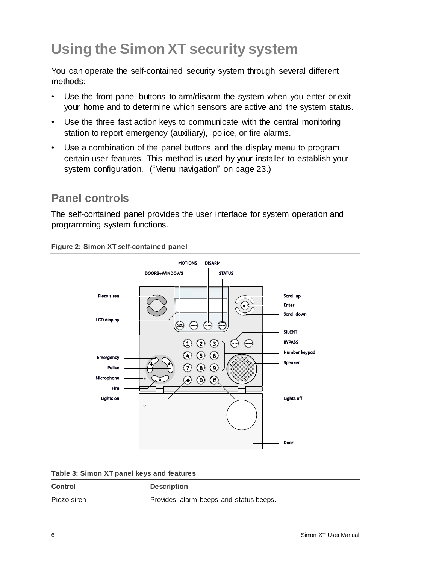# **Using the Simon XT security system**

You can operate the self-contained security system through several different methods:

- Use the front panel buttons to arm/disarm the system when you enter or exit your home and to determine which sensors are active and the system status.
- Use the three fast action keys to communicate with the central monitoring station to report emergency (auxiliary), police, or fire alarms.
- Use a combination of the panel buttons and the display menu to program certain user features. This method is used by your installer to establish your system configuration. ("Menu navigation" on page 23.)

### **Panel controls**

The self-contained panel provides the user interface for system operation and programming system functions.

**Figure 2: Simon XT self-contained panel**



| Table 3: Simon XT panel keys and features |  |  |  |
|-------------------------------------------|--|--|--|
|-------------------------------------------|--|--|--|

| <b>Control</b> | <b>Description</b>                     |
|----------------|----------------------------------------|
| Piezo siren    | Provides alarm beeps and status beeps. |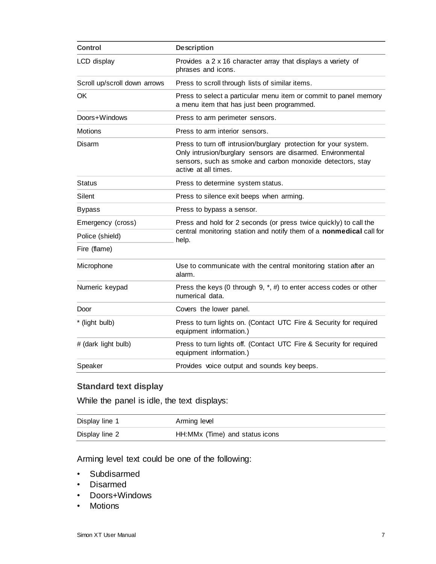| <b>Control</b>               | <b>Description</b>                                                                                                                                                                                                    |  |
|------------------------------|-----------------------------------------------------------------------------------------------------------------------------------------------------------------------------------------------------------------------|--|
| LCD display                  | Provides a 2 x 16 character array that displays a variety of<br>phrases and icons.                                                                                                                                    |  |
| Scroll up/scroll down arrows | Press to scroll through lists of similar items.                                                                                                                                                                       |  |
| <b>OK</b>                    | Press to select a particular menu item or commit to panel memory<br>a menu item that has just been programmed.                                                                                                        |  |
| Doors+Windows                | Press to arm perimeter sensors.                                                                                                                                                                                       |  |
| <b>Motions</b>               | Press to arm interior sensors.                                                                                                                                                                                        |  |
| Disarm                       | Press to turn off intrusion/burglary protection for your system.<br>Only intrusion/burglary sensors are disarmed. Environmental<br>sensors, such as smoke and carbon monoxide detectors, stay<br>active at all times. |  |
| Status                       | Press to determine system status.                                                                                                                                                                                     |  |
| Silent                       | Press to silence exit beeps when arming.                                                                                                                                                                              |  |
| <b>Bypass</b>                | Press to bypass a sensor.                                                                                                                                                                                             |  |
| Emergency (cross)            | Press and hold for 2 seconds (or press twice quickly) to call the                                                                                                                                                     |  |
| Police (shield)              | central monitoring station and notify them of a nonmedical call for<br>help.                                                                                                                                          |  |
| Fire (flame)                 |                                                                                                                                                                                                                       |  |
| Microphone                   | Use to communicate with the central monitoring station after an<br>alarm.                                                                                                                                             |  |
| Numeric keypad               | Press the keys (0 through $9, *, #$ ) to enter access codes or other<br>numerical data.                                                                                                                               |  |
| Door                         | Covers the lower panel.                                                                                                                                                                                               |  |
| * (light bulb)               | Press to turn lights on. (Contact UTC Fire & Security for required<br>equipment information.)                                                                                                                         |  |
| # (dark light bulb)          | Press to turn lights off. (Contact UTC Fire & Security for required<br>equipment information.)                                                                                                                        |  |
| Speaker                      | Provides voice output and sounds key beeps.                                                                                                                                                                           |  |

#### **Standard text display**

While the panel is idle, the text displays:

| Display line 1 | Arming level                   |
|----------------|--------------------------------|
| Display line 2 | HH:MMx (Time) and status icons |

Arming level text could be one of the following:

- Subdisarmed
- Disarmed
- Doors+Windows
- Motions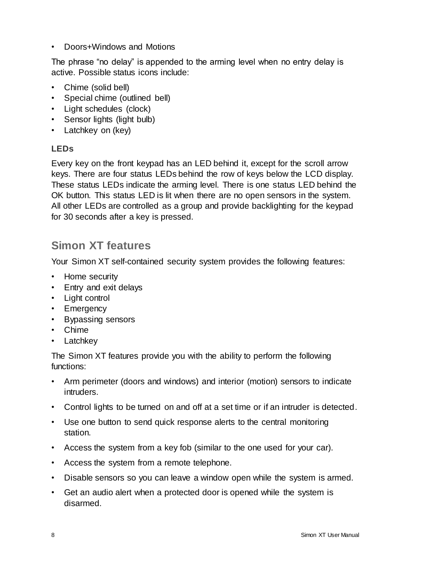• Doors+Windows and Motions

The phrase "no delay" is appended to the arming level when no entry delay is active. Possible status icons include:

- Chime (solid bell)
- Special chime (outlined bell)
- Light schedules (clock)
- Sensor lights (light bulb)
- Latchkey on (key)

#### **LEDs**

Every key on the front keypad has an LED behind it, except for the scroll arrow keys. There are four status LEDs behind the row of keys below the LCD display. These status LEDs indicate the arming level. There is one status LED behind the OK button. This status LED is lit when there are no open sensors in the system. All other LEDs are controlled as a group and provide backlighting for the keypad for 30 seconds after a key is pressed.

### **Simon XT features**

Your Simon XT self-contained security system provides the following features:

- Home security
- Entry and exit delays
- Light control
- Emergency
- Bypassing sensors
- Chime
- Latchkey

The Simon XT features provide you with the ability to perform the following functions:

- Arm perimeter (doors and windows) and interior (motion) sensors to indicate intruders.
- Control lights to be turned on and off at a set time or if an intruder is detected.
- Use one button to send quick response alerts to the central monitoring station.
- Access the system from a key fob (similar to the one used for your car).
- Access the system from a remote telephone.
- Disable sensors so you can leave a window open while the system is armed.
- Get an audio alert when a protected door is opened while the system is disarmed.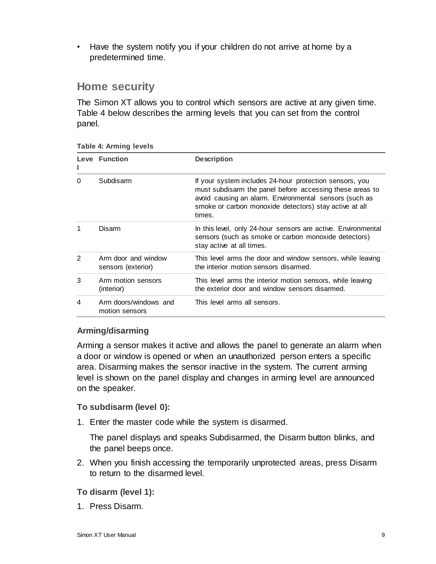• Have the system notify you if your children do not arrive at home by a predetermined time.

### **Home security**

The Simon XT allows you to control which sensors are active at any given time. Table 4 below describes the arming levels that you can set from the control panel.

| Leve<br>L      | <b>Function</b>                           | <b>Description</b>                                                                                                                                                                                                                                |  |
|----------------|-------------------------------------------|---------------------------------------------------------------------------------------------------------------------------------------------------------------------------------------------------------------------------------------------------|--|
| $\Omega$       | Subdisarm                                 | If your system includes 24-hour protection sensors, you<br>must subdisarm the panel before accessing these areas to<br>avoid causing an alarm. Environmental sensors (such as<br>smoke or carbon monoxide detectors) stay active at all<br>times. |  |
|                | Disarm                                    | In this level, only 24-hour sensors are active. Environmental<br>sensors (such as smoke or carbon monoxide detectors)<br>stay active at all times.                                                                                                |  |
| $\overline{2}$ | Arm door and window<br>sensors (exterior) | This level arms the door and window sensors, while leaving<br>the interior motion sensors disarmed.                                                                                                                                               |  |
| 3              | Arm motion sensors<br>(interior)          | This level arms the interior motion sensors, while leaving<br>the exterior door and window sensors disarmed.                                                                                                                                      |  |
| 4              | Arm doors/windows and<br>motion sensors   | This level arms all sensors.                                                                                                                                                                                                                      |  |

#### **Table 4: Arming levels**

#### **Arming/disarming**

Arming a sensor makes it active and allows the panel to generate an alarm when a door or window is opened or when an unauthorized person enters a specific area. Disarming makes the sensor inactive in the system. The current arming level is shown on the panel display and changes in arming level are announced on the speaker.

#### **To subdisarm (level 0):**

1. Enter the master code while the system is disarmed.

The panel displays and speaks Subdisarmed, the Disarm button blinks, and the panel beeps once.

2. When you finish accessing the temporarily unprotected areas, press Disarm to return to the disarmed level.

#### **To disarm (level 1):**

1. Press Disarm.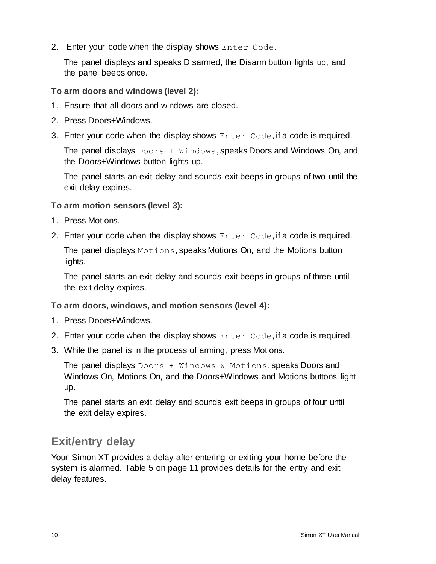2. Enter your code when the display shows Enter Code.

The panel displays and speaks Disarmed, the Disarm button lights up, and the panel beeps once.

**To arm doors and windows (level 2):**

- 1. Ensure that all doors and windows are closed.
- 2. Press Doors+Windows.
- 3. Enter your code when the display shows Enter Code, if a code is required.

The panel displays  $Doors + Windows$ , speaks Doors and Windows On, and the Doors+Windows button lights up.

The panel starts an exit delay and sounds exit beeps in groups of two until the exit delay expires.

**To arm motion sensors (level 3):**

- 1. Press Motions.
- 2. Enter your code when the display shows Enter Code, if a code is required.

The panel displays Motions, speaks Motions On, and the Motions button lights.

The panel starts an exit delay and sounds exit beeps in groups of three until the exit delay expires.

**To arm doors, windows, and motion sensors (level 4):**

- 1. Press Doors+Windows.
- 2. Enter your code when the display shows Enter Code, if a code is required.
- 3. While the panel is in the process of arming, press Motions.

The panel displays  $Doors + Windows$   $\&$  Motions, speaks Doors and Windows On, Motions On, and the Doors+Windows and Motions buttons light up.

The panel starts an exit delay and sounds exit beeps in groups of four until the exit delay expires.

### **Exit/entry delay**

Your Simon XT provides a delay after entering or exiting your home before the system is alarmed. Table 5 on page 11 provides details for the entry and exit delay features.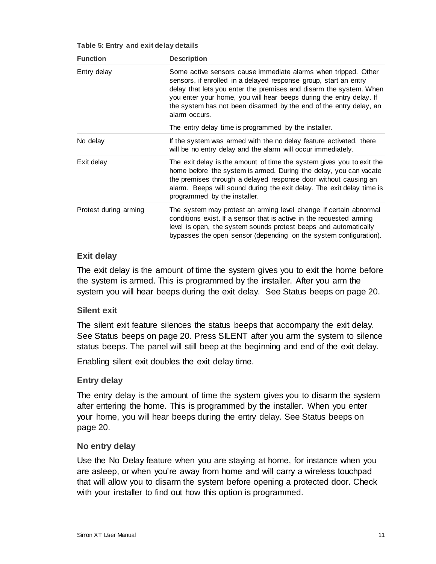| <b>Function</b>       | <b>Description</b>                                                                                                                                                                                                                                                                                                                                                     |
|-----------------------|------------------------------------------------------------------------------------------------------------------------------------------------------------------------------------------------------------------------------------------------------------------------------------------------------------------------------------------------------------------------|
| Entry delay           | Some active sensors cause immediate alarms when tripped. Other<br>sensors, if enrolled in a delayed response group, start an entry<br>delay that lets you enter the premises and disarm the system. When<br>you enter your home, you will hear beeps during the entry delay. If<br>the system has not been disarmed by the end of the entry delay, an<br>alarm occurs. |
|                       | The entry delay time is programmed by the installer.                                                                                                                                                                                                                                                                                                                   |
| No delay              | If the system was armed with the no delay feature activated, there<br>will be no entry delay and the alarm will occur immediately.                                                                                                                                                                                                                                     |
| Exit delay            | The exit delay is the amount of time the system gives you to exit the<br>home before the system is armed. During the delay, you can vacate<br>the premises through a delayed response door without causing an<br>alarm. Beeps will sound during the exit delay. The exit delay time is<br>programmed by the installer.                                                 |
| Protest during arming | The system may protest an arming level change if certain abnormal<br>conditions exist. If a sensor that is active in the requested arming<br>level is open, the system sounds protest beeps and automatically<br>bypasses the open sensor (depending on the system configuration).                                                                                     |

**Table 5: Entry and exit delay details**

#### **Exit delay**

The exit delay is the amount of time the system gives you to exit the home before the system is armed. This is programmed by the installer. After you arm the system you will hear beeps during the exit delay. See Status beeps on page 20.

#### **Silent exit**

The silent exit feature silences the status beeps that accompany the exit delay. See Status beeps on page 20. Press SILENT after you arm the system to silence status beeps. The panel will still beep at the beginning and end of the exit delay.

Enabling silent exit doubles the exit delay time.

#### **Entry delay**

The entry delay is the amount of time the system gives you to disarm the system after entering the home. This is programmed by the installer. When you enter your home, you will hear beeps during the entry delay. See Status beeps on page 20.

#### **No entry delay**

Use the No Delay feature when you are staying at home, for instance when you are asleep, or when you're away from home and will carry a wireless touchpad that will allow you to disarm the system before opening a protected door. Check with your installer to find out how this option is programmed.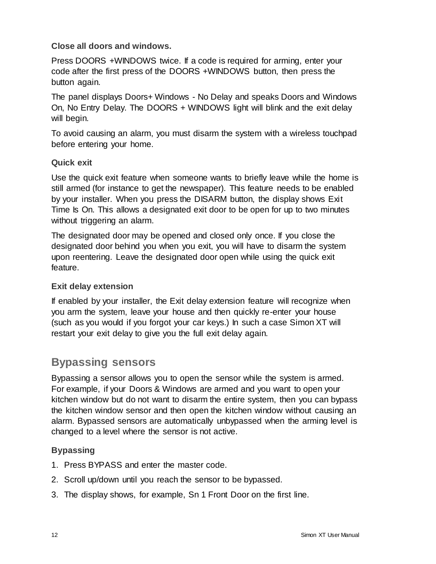#### **Close all doors and windows.**

Press DOORS +WINDOWS twice. If a code is required for arming, enter your code after the first press of the DOORS +WINDOWS button, then press the button again.

The panel displays Doors+ Windows - No Delay and speaks Doors and Windows On, No Entry Delay. The DOORS + WINDOWS light will blink and the exit delay will begin.

To avoid causing an alarm, you must disarm the system with a wireless touchpad before entering your home.

#### **Quick exit**

Use the quick exit feature when someone wants to briefly leave while the home is still armed (for instance to get the newspaper). This feature needs to be enabled by your installer. When you press the DISARM button, the display shows Exit Time Is On. This allows a designated exit door to be open for up to two minutes without triggering an alarm.

The designated door may be opened and closed only once. If you close the designated door behind you when you exit, you will have to disarm the system upon reentering. Leave the designated door open while using the quick exit feature.

#### **Exit delay extension**

If enabled by your installer, the Exit delay extension feature will recognize when you arm the system, leave your house and then quickly re-enter your house (such as you would if you forgot your car keys.) In such a case Simon XT will restart your exit delay to give you the full exit delay again.

### **Bypassing sensors**

Bypassing a sensor allows you to open the sensor while the system is armed. For example, if your Doors & Windows are armed and you want to open your kitchen window but do not want to disarm the entire system, then you can bypass the kitchen window sensor and then open the kitchen window without causing an alarm. Bypassed sensors are automatically unbypassed when the arming level is changed to a level where the sensor is not active.

#### **Bypassing**

- 1. Press BYPASS and enter the master code.
- 2. Scroll up/down until you reach the sensor to be bypassed.
- 3. The display shows, for example, Sn 1 Front Door on the first line.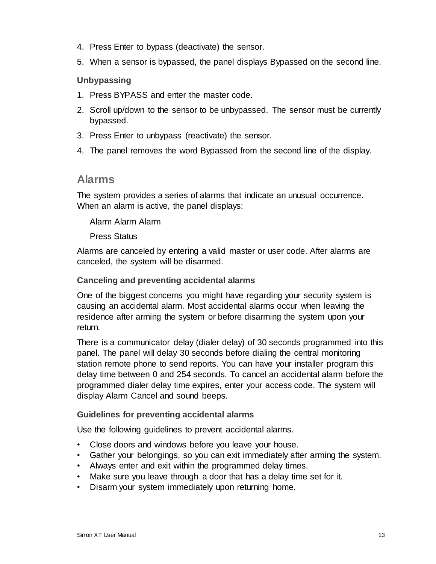- 4. Press Enter to bypass (deactivate) the sensor.
- 5. When a sensor is bypassed, the panel displays Bypassed on the second line.

#### **Unbypassing**

- 1. Press BYPASS and enter the master code.
- 2. Scroll up/down to the sensor to be unbypassed. The sensor must be currently bypassed.
- 3. Press Enter to unbypass (reactivate) the sensor.
- 4. The panel removes the word Bypassed from the second line of the display.

#### **Alarms**

The system provides a series of alarms that indicate an unusual occurrence. When an alarm is active, the panel displays:

#### Alarm Alarm Alarm

#### Press Status

Alarms are canceled by entering a valid master or user code. After alarms are canceled, the system will be disarmed.

#### **Canceling and preventing accidental alarms**

One of the biggest concerns you might have regarding your security system is causing an accidental alarm. Most accidental alarms occur when leaving the residence after arming the system or before disarming the system upon your return.

There is a communicator delay (dialer delay) of 30 seconds programmed into this panel. The panel will delay 30 seconds before dialing the central monitoring station remote phone to send reports. You can have your installer program this delay time between 0 and 254 seconds. To cancel an accidental alarm before the programmed dialer delay time expires, enter your access code. The system will display Alarm Cancel and sound beeps.

#### **Guidelines for preventing accidental alarms**

Use the following guidelines to prevent accidental alarms.

- Close doors and windows before you leave your house.
- Gather your belongings, so you can exit immediately after arming the system.
- Always enter and exit within the programmed delay times.
- Make sure you leave through a door that has a delay time set for it.
- Disarm your system immediately upon returning home.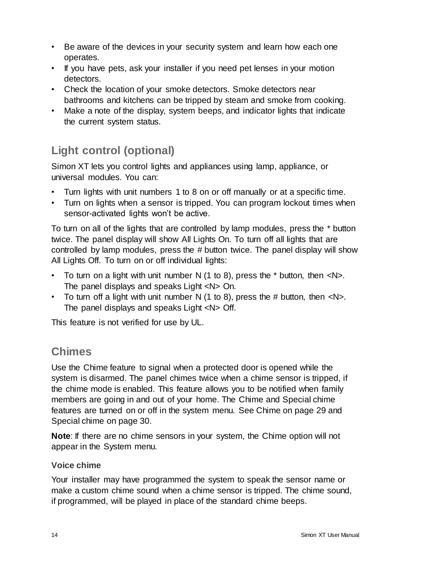- Be aware of the devices in your security system and learn how each one operates.
- If you have pets, ask your installer if you need pet lenses in your motion detectors.
- Check the location of your smoke detectors. Smoke detectors near bathrooms and kitchens can be tripped by steam and smoke from cooking.
- Make a note of the display, system beeps, and indicator lights that indicate the current system status.

### **Light control (optional)**

Simon XT lets you control lights and appliances using lamp, appliance, or universal modules. You can:

- Turn lights with unit numbers 1 to 8 on or off manually or at a specific time.
- Turn on lights when a sensor is tripped. You can program lockout times when sensor-activated lights won't be active.

To turn on all of the lights that are controlled by lamp modules, press the \* button twice. The panel display will show All Lights On. To turn off all lights that are controlled by lamp modules, press the # button twice. The panel display will show All Lights Off. To turn on or off individual lights:

- To turn on a light with unit number N  $(1 \text{ to } 8)$ , press the  $*$  button, then  $\langle N \rangle$ . The panel displays and speaks Light <N> On.
- To turn off a light with unit number N  $(1 \text{ to } 8)$ , press the # button, then  $\langle N \rangle$ . The panel displays and speaks Light <N> Off.

This feature is not verified for use by UL.

### **Chimes**

Use the Chime feature to signal when a protected door is opened while the system is disarmed. The panel chimes twice when a chime sensor is tripped, if the chime mode is enabled. This feature allows you to be notified when family members are going in and out of your home. The Chime and Special chime features are turned on or off in the system menu. See Chime on page 29 and Special chime on page 30.

**Note**: If there are no chime sensors in your system, the Chime option will not appear in the System menu.

#### **Voice chime**

Your installer may have programmed the system to speak the sensor name or make a custom chime sound when a chime sensor is tripped. The chime sound, if programmed, will be played in place of the standard chime beeps.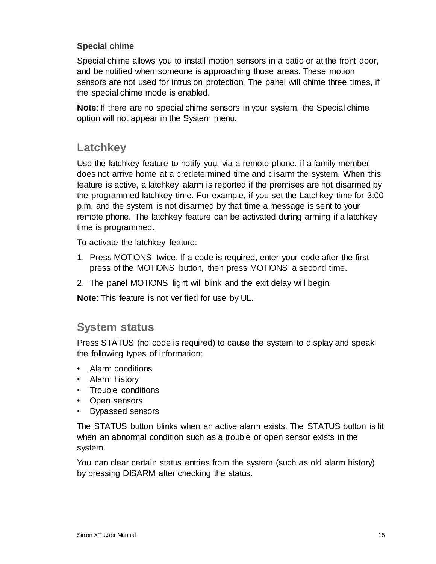#### **Special chime**

Special chime allows you to install motion sensors in a patio or at the front door, and be notified when someone is approaching those areas. These motion sensors are not used for intrusion protection. The panel will chime three times, if the special chime mode is enabled.

**Note**: If there are no special chime sensors in your system, the Special chime option will not appear in the System menu.

### **Latchkey**

Use the latchkey feature to notify you, via a remote phone, if a family member does not arrive home at a predetermined time and disarm the system. When this feature is active, a latchkey alarm is reported if the premises are not disarmed by the programmed latchkey time. For example, if you set the Latchkey time for 3:00 p.m. and the system is not disarmed by that time a message is sent to your remote phone. The latchkey feature can be activated during arming if a latchkey time is programmed.

To activate the latchkey feature:

- 1. Press MOTIONS twice. If a code is required, enter your code after the first press of the MOTIONS button, then press MOTIONS a second time.
- 2. The panel MOTIONS light will blink and the exit delay will begin.

**Note**: This feature is not verified for use by UL.

### **System status**

Press STATUS (no code is required) to cause the system to display and speak the following types of information:

- Alarm conditions
- Alarm history
- Trouble conditions
- Open sensors
- Bypassed sensors

The STATUS button blinks when an active alarm exists. The STATUS button is lit when an abnormal condition such as a trouble or open sensor exists in the system.

You can clear certain status entries from the system (such as old alarm history) by pressing DISARM after checking the status.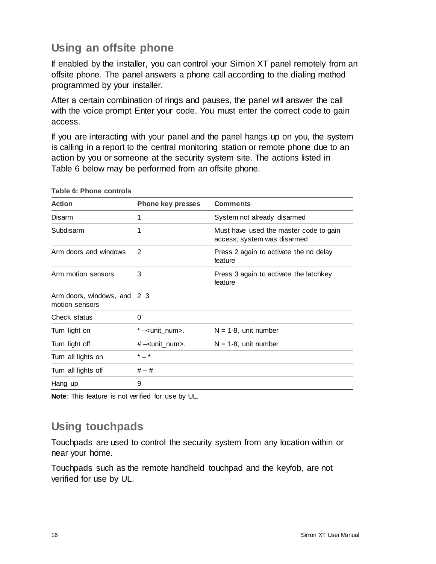### **Using an offsite phone**

If enabled by the installer, you can control your Simon XT panel remotely from an offsite phone. The panel answers a phone call according to the dialing method programmed by your installer.

After a certain combination of rings and pauses, the panel will answer the call with the voice prompt Enter your code. You must enter the correct code to gain access.

If you are interacting with your panel and the panel hangs up on you, the system is calling in a report to the central monitoring station or remote phone due to an action by you or someone at the security system site. The actions listed in Table 6 below may be performed from an offsite phone.

| <b>Action</b>                                 | <b>Phone key presses</b>     | <b>Comments</b>                                                       |
|-----------------------------------------------|------------------------------|-----------------------------------------------------------------------|
| Disarm                                        | 1                            | System not already disarmed                                           |
| Subdisarm                                     | 1                            | Must have used the master code to gain<br>access; system was disarmed |
| Arm doors and windows                         | 2                            | Press 2 again to activate the no delay<br>feature                     |
| Arm motion sensors                            | 3                            | Press 3 again to activate the latchkey<br>feature                     |
| Arm doors, windows, and 2 3<br>motion sensors |                              |                                                                       |
| Check status                                  | $\Omega$                     |                                                                       |
| Turn light on                                 | $*$ - <unit_num>.</unit_num> | $N = 1-8$ , unit number                                               |
| Turn light off                                | #-vunit_num>.                | $N = 1-8$ , unit number                                               |
| Turn all lights on                            | $* - *$                      |                                                                       |
| Turn all lights off                           | $# - #$                      |                                                                       |
| Hang up                                       | 9                            |                                                                       |

**Table 6: Phone controls**

**Note**: This feature is not verified for use by UL.

### **Using touchpads**

Touchpads are used to control the security system from any location within or near your home.

Touchpads such as the remote handheld touchpad and the keyfob, are not verified for use by UL.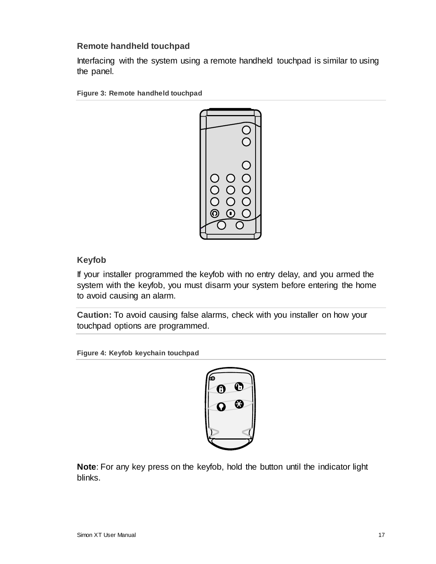#### **Remote handheld touchpad**

Interfacing with the system using a remote handheld touchpad is similar to using the panel.

**Figure 3: Remote handheld touchpad**



#### **Keyfob**

If your installer programmed the keyfob with no entry delay, and you armed the system with the keyfob, you must disarm your system before entering the home to avoid causing an alarm.

**Caution:** To avoid causing false alarms, check with you installer on how your touchpad options are programmed.

**Figure 4: Keyfob keychain touchpad**



**Note**: For any key press on the keyfob, hold the button until the indicator light blinks.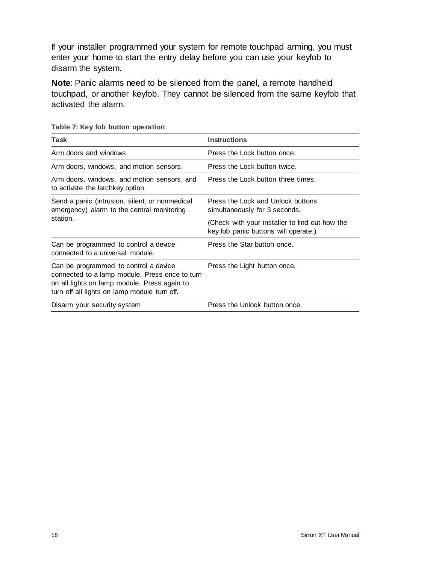If your installer programmed your system for remote touchpad arming, you must enter your home to start the entry delay before you can use your keyfob to disarm the system.

**Note**: Panic alarms need to be silenced from the panel, a remote handheld touchpad, or another keyfob. They cannot be silenced from the same keyfob that activated the alarm.

| Task                                                                                                                                                                                    | <b>Instructions</b>                                                                    |
|-----------------------------------------------------------------------------------------------------------------------------------------------------------------------------------------|----------------------------------------------------------------------------------------|
| Arm doors and windows.                                                                                                                                                                  | Press the Lock button once.                                                            |
| Arm doors, windows, and motion sensors.                                                                                                                                                 | Press the Lock button twice.                                                           |
| Arm doors, windows, and motion sensors, and<br>to activate the latchkey option.                                                                                                         | Press the Lock button three times.                                                     |
| Send a panic (intrusion, silent, or nonmedical<br>emergency) alarm to the central monitoring                                                                                            | Press the Lock and Unlock buttons<br>simultaneously for 3 seconds.                     |
| station.                                                                                                                                                                                | (Check with your installer to find out how the<br>key fob panic buttons will operate.) |
| Can be programmed to control a device<br>connected to a universal module.                                                                                                               | Press the Star button once.                                                            |
| Can be programmed to control a device<br>connected to a lamp module. Press once to turn<br>on all lights on lamp module. Press again to<br>turn off all lights on lamp module turn off. | Press the Light button once.                                                           |
| Disarm your security system                                                                                                                                                             | Press the Unlock button once.                                                          |

**Table 7: Key fob button operation**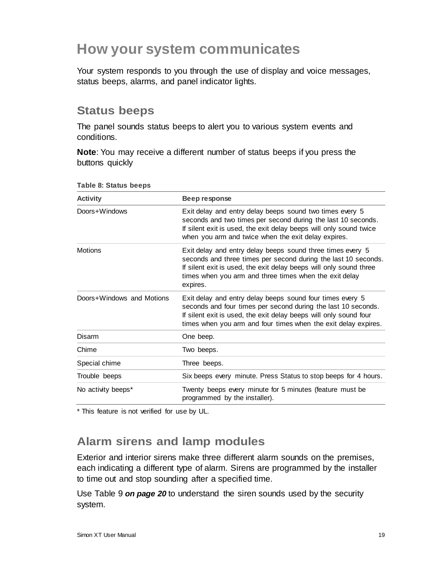# **How your system communicates**

Your system responds to you through the use of display and voice messages, status beeps, alarms, and panel indicator lights.

### **Status beeps**

The panel sounds status beeps to alert you to various system events and conditions.

**Note**: You may receive a different number of status beeps if you press the buttons quickly

| <b>Activity</b>           | Beep response                                                                                                                                                                                                                                                            |
|---------------------------|--------------------------------------------------------------------------------------------------------------------------------------------------------------------------------------------------------------------------------------------------------------------------|
| Doors+Windows             | Exit delay and entry delay beeps sound two times every 5<br>seconds and two times per second during the last 10 seconds.<br>If silent exit is used, the exit delay beeps will only sound twice<br>when you arm and twice when the exit delay expires.                    |
| <b>Motions</b>            | Exit delay and entry delay beeps sound three times every 5<br>seconds and three times per second during the last 10 seconds.<br>If silent exit is used, the exit delay beeps will only sound three<br>times when you arm and three times when the exit delay<br>expires. |
| Doors+Windows and Motions | Exit delay and entry delay beeps sound four times every 5<br>seconds and four times per second during the last 10 seconds.<br>If silent exit is used, the exit delay beeps will only sound four<br>times when you arm and four times when the exit delay expires.        |
| Disarm                    | One beep.                                                                                                                                                                                                                                                                |
| Chime                     | Two beeps.                                                                                                                                                                                                                                                               |
| Special chime             | Three beeps.                                                                                                                                                                                                                                                             |
| Trouble beeps             | Six beeps every minute. Press Status to stop beeps for 4 hours.                                                                                                                                                                                                          |
| No activity beeps*        | Twenty beeps every minute for 5 minutes (feature must be<br>programmed by the installer).                                                                                                                                                                                |

**Table 8: Status beeps**

\* This feature is not verified for use by UL.

### **Alarm sirens and lamp modules**

Exterior and interior sirens make three different alarm sounds on the premises, each indicating a different type of alarm. Sirens are programmed by the installer to time out and stop sounding after a specified time.

Use Table 9 *on page 20* to understand the siren sounds used by the security system.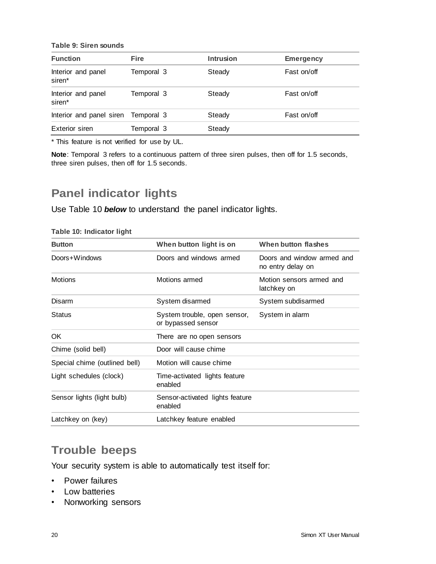**Table 9: Siren sounds**

| <b>Function</b>              | <b>Fire</b> | <b>Intrusion</b> | <b>Emergency</b> |
|------------------------------|-------------|------------------|------------------|
| Interior and panel<br>siren* | Temporal 3  | Steady           | Fast on/off      |
| Interior and panel<br>siren* | Temporal 3  | Steady           | Fast on/off      |
| Interior and panel siren     | Temporal 3  | Steady           | Fast on/off      |
| Exterior siren               | Temporal 3  | Steady           |                  |

\* This feature is not verified for use by UL.

**Note**: Temporal 3 refers to a continuous pattern of three siren pulses, then off for 1.5 seconds, three siren pulses, then off for 1.5 seconds.

### **Panel indicator lights**

Use Table 10 *below* to understand the panel indicator lights.

| <b>Button</b>                 | When button light is on                            | When button flashes                             |
|-------------------------------|----------------------------------------------------|-------------------------------------------------|
| Doors+Windows                 | Doors and windows armed                            | Doors and window armed and<br>no entry delay on |
| <b>Motions</b>                | Motions armed                                      | Motion sensors armed and<br>latchkey on         |
| <b>Disarm</b>                 | System disarmed                                    | System subdisarmed                              |
| <b>Status</b>                 | System trouble, open sensor,<br>or bypassed sensor | System in alarm                                 |
| OK.                           | There are no open sensors                          |                                                 |
| Chime (solid bell)            | Door will cause chime                              |                                                 |
| Special chime (outlined bell) | Motion will cause chime                            |                                                 |
| Light schedules (clock)       | Time-activated lights feature<br>enabled           |                                                 |
| Sensor lights (light bulb)    | Sensor-activated lights feature<br>enabled         |                                                 |
| Latchkey on (key)             | Latchkey feature enabled                           |                                                 |

#### **Table 10: Indicator light**

### **Trouble beeps**

Your security system is able to automatically test itself for:

- Power failures
- Low batteries
- Nonworking sensors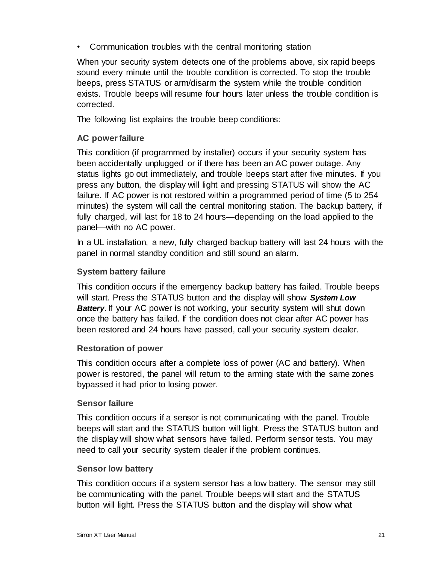• Communication troubles with the central monitoring station

When your security system detects one of the problems above, six rapid beeps sound every minute until the trouble condition is corrected. To stop the trouble beeps, press STATUS or arm/disarm the system while the trouble condition exists. Trouble beeps will resume four hours later unless the trouble condition is corrected.

The following list explains the trouble beep conditions:

#### **AC power failure**

This condition (if programmed by installer) occurs if your security system has been accidentally unplugged or if there has been an AC power outage. Any status lights go out immediately, and trouble beeps start after five minutes. If you press any button, the display will light and pressing STATUS will show the AC failure. If AC power is not restored within a programmed period of time (5 to 254 minutes) the system will call the central monitoring station. The backup battery, if fully charged, will last for 18 to 24 hours—depending on the load applied to the panel—with no AC power.

In a UL installation, a new, fully charged backup battery will last 24 hours with the panel in normal standby condition and still sound an alarm.

#### **System battery failure**

This condition occurs if the emergency backup battery has failed. Trouble beeps will start. Press the STATUS button and the display will show *System Low*  **Battery**. If your AC power is not working, your security system will shut down once the battery has failed. If the condition does not clear after AC power has been restored and 24 hours have passed, call your security system dealer.

#### **Restoration of power**

This condition occurs after a complete loss of power (AC and battery). When power is restored, the panel will return to the arming state with the same zones bypassed it had prior to losing power.

#### **Sensor failure**

This condition occurs if a sensor is not communicating with the panel. Trouble beeps will start and the STATUS button will light. Press the STATUS button and the display will show what sensors have failed. Perform sensor tests. You may need to call your security system dealer if the problem continues.

#### **Sensor low battery**

This condition occurs if a system sensor has a low battery. The sensor may still be communicating with the panel. Trouble beeps will start and the STATUS button will light. Press the STATUS button and the display will show what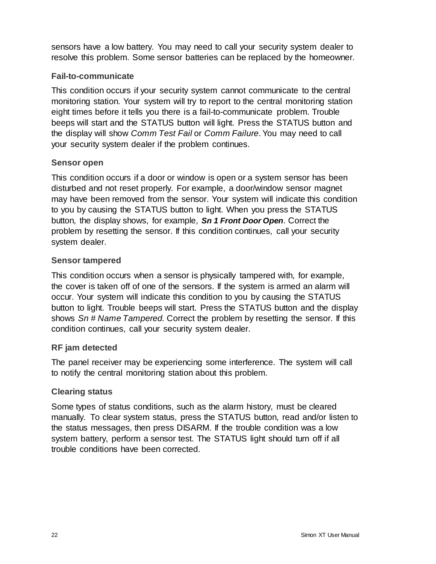sensors have a low battery. You may need to call your security system dealer to resolve this problem. Some sensor batteries can be replaced by the homeowner.

#### **Fail-to-communicate**

This condition occurs if your security system cannot communicate to the central monitoring station. Your system will try to report to the central monitoring station eight times before it tells you there is a fail-to-communicate problem. Trouble beeps will start and the STATUS button will light. Press the STATUS button and the display will show *Comm Test Fail* or *Comm Failure*. You may need to call your security system dealer if the problem continues.

#### **Sensor open**

This condition occurs if a door or window is open or a system sensor has been disturbed and not reset properly. For example, a door/window sensor magnet may have been removed from the sensor. Your system will indicate this condition to you by causing the STATUS button to light. When you press the STATUS button, the display shows, for example, *Sn 1 Front Door Open*. Correct the problem by resetting the sensor. If this condition continues, call your security system dealer.

#### **Sensor tampered**

This condition occurs when a sensor is physically tampered with, for example, the cover is taken off of one of the sensors. If the system is armed an alarm will occur. Your system will indicate this condition to you by causing the STATUS button to light. Trouble beeps will start. Press the STATUS button and the display shows *Sn # Name Tampered.* Correct the problem by resetting the sensor. If this condition continues, call your security system dealer.

#### **RF jam detected**

The panel receiver may be experiencing some interference. The system will call to notify the central monitoring station about this problem.

#### **Clearing status**

Some types of status conditions, such as the alarm history, must be cleared manually. To clear system status, press the STATUS button, read and/or listen to the status messages, then press DISARM. If the trouble condition was a low system battery, perform a sensor test. The STATUS light should turn off if all trouble conditions have been corrected.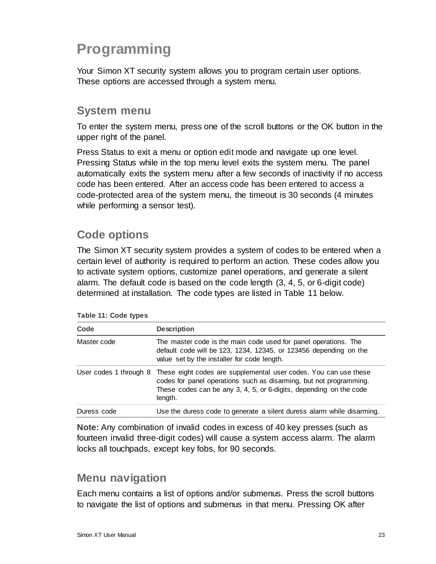# **Programming**

Your Simon XT security system allows you to program certain user options. These options are accessed through a system menu.

### **System menu**

To enter the system menu, press one of the scroll buttons or the OK button in the upper right of the panel.

Press Status to exit a menu or option edit mode and navigate up one level. Pressing Status while in the top menu level exits the system menu. The panel automatically exits the system menu after a few seconds of inactivity if no access code has been entered. After an access code has been entered to access a code-protected area of the system menu, the timeout is 30 seconds (4 minutes while performing a sensor test).

### **Code options**

The Simon XT security system provides a system of codes to be entered when a certain level of authority is required to perform an action. These codes allow you to activate system options, customize panel operations, and generate a silent alarm. The default code is based on the code length (3, 4, 5, or 6-digit code) determined at installation. The code types are listed in Table 11 below.

|  |  |  | Table 11: Code types |
|--|--|--|----------------------|
|--|--|--|----------------------|

| Code                   | <b>Description</b>                                                                                                                                                                                                      |
|------------------------|-------------------------------------------------------------------------------------------------------------------------------------------------------------------------------------------------------------------------|
| Master code            | The master code is the main code used for panel operations. The<br>default code will be 123, 1234, 12345, or 123456 depending on the<br>value set by the installer for code length.                                     |
| User codes 1 through 8 | These eight codes are supplemental user codes. You can use these<br>codes for panel operations such as disarming, but not programming.<br>These codes can be any 3, 4, 5, or 6-digits, depending on the code<br>length. |
| Duress code            | Use the duress code to generate a silent duress alarm while disarming.                                                                                                                                                  |

**Note:** Any combination of invalid codes in excess of 40 key presses (such as fourteen invalid three-digit codes) will cause a system access alarm. The alarm locks all touchpads, except key fobs, for 90 seconds.

### **Menu navigation**

Each menu contains a list of options and/or submenus. Press the scroll buttons to navigate the list of options and submenus in that menu. Pressing OK after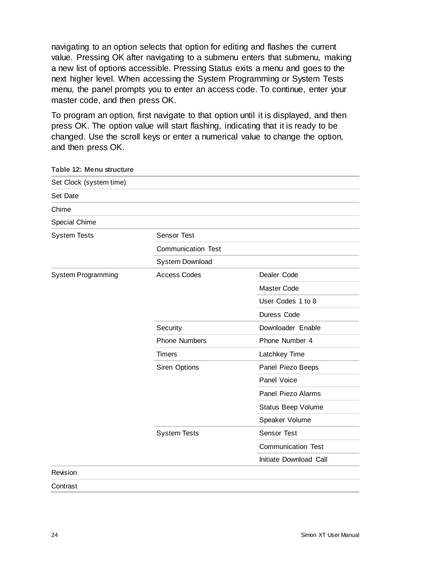navigating to an option selects that option for editing and flashes the current value. Pressing OK after navigating to a submenu enters that submenu, making a new list of options accessible. Pressing Status exits a menu and goes to the next higher level. When accessing the System Programming or System Tests menu, the panel prompts you to enter an access code. To continue, enter your master code, and then press OK.

To program an option, first navigate to that option until it is displayed, and then press OK. The option value will start flashing, indicating that it is ready to be changed. Use the scroll keys or enter a numerical value to change the option, and then press OK.

| Table 12: Menu structure |                           |                           |  |
|--------------------------|---------------------------|---------------------------|--|
| Set Clock (system time)  |                           |                           |  |
| Set Date                 |                           |                           |  |
| Chime                    |                           |                           |  |
| Special Chime            |                           |                           |  |
| <b>System Tests</b>      | <b>Sensor Test</b>        |                           |  |
|                          | <b>Communication Test</b> |                           |  |
|                          | System Download           |                           |  |
| System Programming       | <b>Access Codes</b>       | Dealer Code               |  |
|                          |                           | Master Code               |  |
|                          |                           | User Codes 1 to 8         |  |
|                          |                           | Duress Code               |  |
|                          | Security                  | Downloader Enable         |  |
|                          | <b>Phone Numbers</b>      | Phone Number 4            |  |
|                          | <b>Timers</b>             | Latchkey Time             |  |
|                          | Siren Options             | Panel Piezo Beeps         |  |
|                          |                           | Panel Voice               |  |
|                          |                           | Panel Piezo Alarms        |  |
|                          |                           | Status Beep Volume        |  |
|                          |                           | Speaker Volume            |  |
|                          | <b>System Tests</b>       | Sensor Test               |  |
|                          |                           | <b>Communication Test</b> |  |
|                          |                           | Initiate Download Call    |  |
| Revision                 |                           |                           |  |
| Contrast                 |                           |                           |  |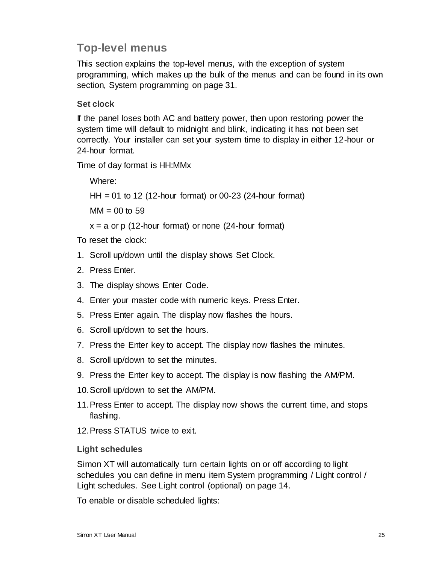### **Top-level menus**

This section explains the top-level menus, with the exception of system programming, which makes up the bulk of the menus and can be found in its own section, System programming on page 31.

#### **Set clock**

If the panel loses both AC and battery power, then upon restoring power the system time will default to midnight and blink, indicating it has not been set correctly. Your installer can set your system time to display in either 12-hour or 24-hour format.

Time of day format is HH:MMx

Where:

HH = 01 to 12 (12-hour format) or 00-23 (24-hour format)

 $MM = 00$  to 59

 $x = a$  or p (12-hour format) or none (24-hour format)

To reset the clock:

- 1. Scroll up/down until the display shows Set Clock.
- 2. Press Enter.
- 3. The display shows Enter Code.
- 4. Enter your master code with numeric keys. Press Enter.
- 5. Press Enter again. The display now flashes the hours.
- 6. Scroll up/down to set the hours.
- 7. Press the Enter key to accept. The display now flashes the minutes.
- 8. Scroll up/down to set the minutes.
- 9. Press the Enter key to accept. The display is now flashing the AM/PM.
- 10.Scroll up/down to set the AM/PM.
- 11.Press Enter to accept. The display now shows the current time, and stops flashing.
- 12.Press STATUS twice to exit.

#### **Light schedules**

Simon XT will automatically turn certain lights on or off according to light schedules you can define in menu item System programming / Light control / Light schedules. See Light control (optional) on page 14.

To enable or disable scheduled lights: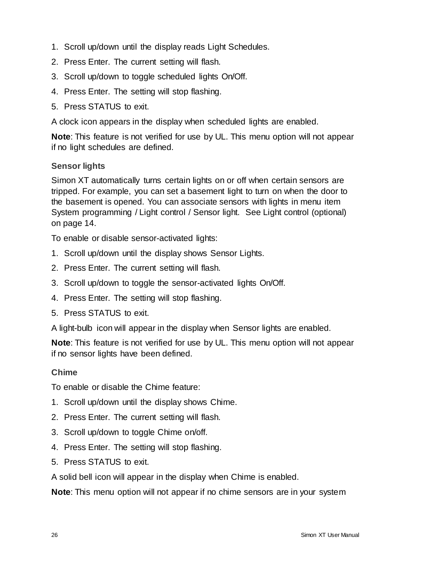- 1. Scroll up/down until the display reads Light Schedules.
- 2. Press Enter. The current setting will flash.
- 3. Scroll up/down to toggle scheduled lights On/Off.
- 4. Press Enter. The setting will stop flashing.
- 5. Press STATUS to exit.

A clock icon appears in the display when scheduled lights are enabled.

**Note**: This feature is not verified for use by UL. This menu option will not appear if no light schedules are defined.

#### **Sensor lights**

Simon XT automatically turns certain lights on or off when certain sensors are tripped. For example, you can set a basement light to turn on when the door to the basement is opened. You can associate sensors with lights in menu item System programming / Light control / Sensor light. See Light control (optional) on page 14.

To enable or disable sensor-activated lights:

- 1. Scroll up/down until the display shows Sensor Lights.
- 2. Press Enter. The current setting will flash.
- 3. Scroll up/down to toggle the sensor-activated lights On/Off.
- 4. Press Enter. The setting will stop flashing.
- 5. Press STATUS to exit.

A light-bulb icon will appear in the display when Sensor lights are enabled.

**Note**: This feature is not verified for use by UL. This menu option will not appear if no sensor lights have been defined.

#### **Chime**

To enable or disable the Chime feature:

- 1. Scroll up/down until the display shows Chime.
- 2. Press Enter. The current setting will flash.
- 3. Scroll up/down to toggle Chime on/off.
- 4. Press Enter. The setting will stop flashing.
- 5. Press STATUS to exit.

A solid bell icon will appear in the display when Chime is enabled.

**Note**: This menu option will not appear if no chime sensors are in your system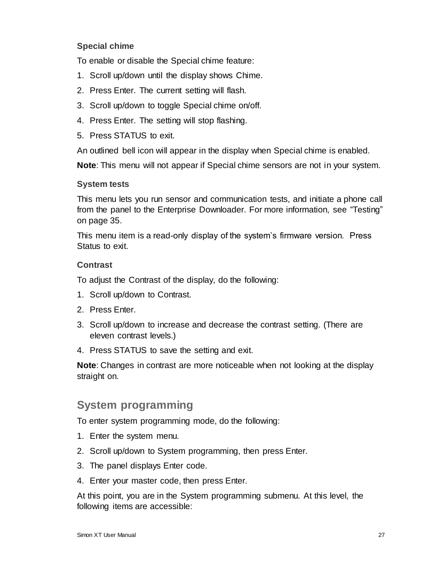#### **Special chime**

To enable or disable the Special chime feature:

- 1. Scroll up/down until the display shows Chime.
- 2. Press Enter. The current setting will flash.
- 3. Scroll up/down to toggle Special chime on/off.
- 4. Press Enter. The setting will stop flashing.
- 5. Press STATUS to exit.

An outlined bell icon will appear in the display when Special chime is enabled.

**Note**: This menu will not appear if Special chime sensors are not in your system.

#### **System tests**

This menu lets you run sensor and communication tests, and initiate a phone call from the panel to the Enterprise Downloader. For more information, see "Testing" on page 35.

This menu item is a read-only display of the system's firmware version. Press Status to exit.

#### **Contrast**

To adjust the Contrast of the display, do the following:

- 1. Scroll up/down to Contrast.
- 2. Press Enter.
- 3. Scroll up/down to increase and decrease the contrast setting. (There are eleven contrast levels.)
- 4. Press STATUS to save the setting and exit.

**Note**: Changes in contrast are more noticeable when not looking at the display straight on.

#### **System programming**

To enter system programming mode, do the following:

- 1. Enter the system menu.
- 2. Scroll up/down to System programming, then press Enter.
- 3. The panel displays Enter code.
- 4. Enter your master code, then press Enter.

At this point, you are in the System programming submenu. At this level, the following items are accessible: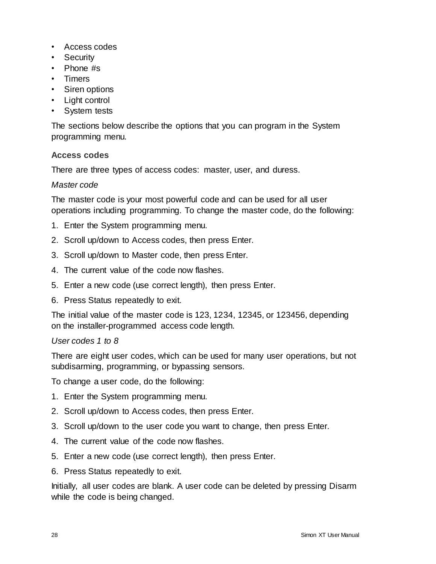- Access codes
- Security
- Phone #s
- Timers
- Siren options
- Light control
- System tests

The sections below describe the options that you can program in the System programming menu.

#### **Access codes**

There are three types of access codes: master, user, and duress.

#### *Master code*

The master code is your most powerful code and can be used for all user operations including programming. To change the master code, do the following:

- 1. Enter the System programming menu.
- 2. Scroll up/down to Access codes, then press Enter.
- 3. Scroll up/down to Master code, then press Enter.
- 4. The current value of the code now flashes.
- 5. Enter a new code (use correct length), then press Enter.
- 6. Press Status repeatedly to exit.

The initial value of the master code is 123, 1234, 12345, or 123456, depending on the installer-programmed access code length.

#### *User codes 1 to 8*

There are eight user codes, which can be used for many user operations, but not subdisarming, programming, or bypassing sensors.

To change a user code, do the following:

- 1. Enter the System programming menu.
- 2. Scroll up/down to Access codes, then press Enter.
- 3. Scroll up/down to the user code you want to change, then press Enter.
- 4. The current value of the code now flashes.
- 5. Enter a new code (use correct length), then press Enter.
- 6. Press Status repeatedly to exit.

Initially, all user codes are blank. A user code can be deleted by pressing Disarm while the code is being changed.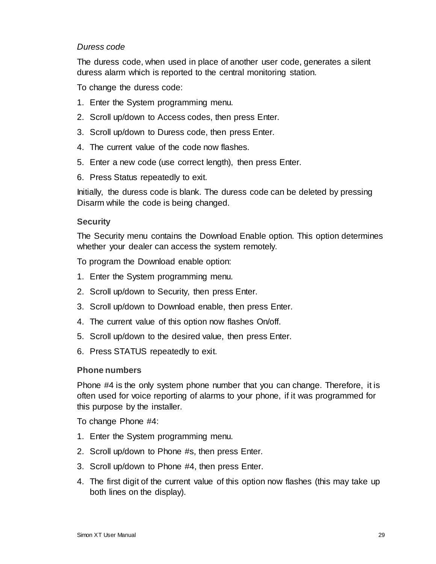#### *Duress code*

The duress code, when used in place of another user code, generates a silent duress alarm which is reported to the central monitoring station.

To change the duress code:

- 1. Enter the System programming menu.
- 2. Scroll up/down to Access codes, then press Enter.
- 3. Scroll up/down to Duress code, then press Enter.
- 4. The current value of the code now flashes.
- 5. Enter a new code (use correct length), then press Enter.
- 6. Press Status repeatedly to exit.

Initially, the duress code is blank. The duress code can be deleted by pressing Disarm while the code is being changed.

#### **Security**

The Security menu contains the Download Enable option. This option determines whether your dealer can access the system remotely.

To program the Download enable option:

- 1. Enter the System programming menu.
- 2. Scroll up/down to Security, then press Enter.
- 3. Scroll up/down to Download enable, then press Enter.
- 4. The current value of this option now flashes On/off.
- 5. Scroll up/down to the desired value, then press Enter.
- 6. Press STATUS repeatedly to exit.

#### **Phone numbers**

Phone #4 is the only system phone number that you can change. Therefore, it is often used for voice reporting of alarms to your phone, if it was programmed for this purpose by the installer.

To change Phone #4:

- 1. Enter the System programming menu.
- 2. Scroll up/down to Phone #s, then press Enter.
- 3. Scroll up/down to Phone #4, then press Enter.
- 4. The first digit of the current value of this option now flashes (this may take up both lines on the display).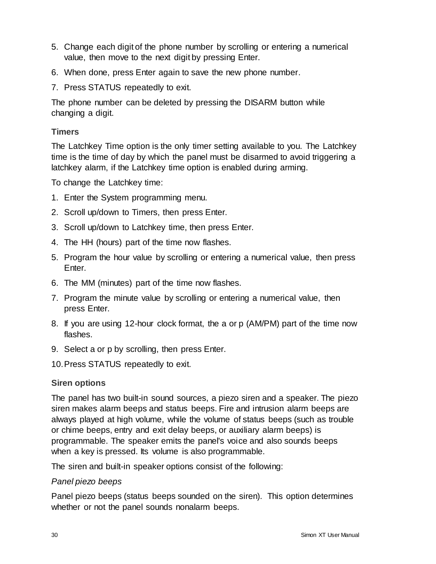- 5. Change each digit of the phone number by scrolling or entering a numerical value, then move to the next digit by pressing Enter.
- 6. When done, press Enter again to save the new phone number.
- 7. Press STATUS repeatedly to exit.

The phone number can be deleted by pressing the DISARM button while changing a digit.

#### **Timers**

The Latchkey Time option is the only timer setting available to you. The Latchkey time is the time of day by which the panel must be disarmed to avoid triggering a latchkey alarm, if the Latchkey time option is enabled during arming.

To change the Latchkey time:

- 1. Enter the System programming menu.
- 2. Scroll up/down to Timers, then press Enter.
- 3. Scroll up/down to Latchkey time, then press Enter.
- 4. The HH (hours) part of the time now flashes.
- 5. Program the hour value by scrolling or entering a numerical value, then press Enter.
- 6. The MM (minutes) part of the time now flashes.
- 7. Program the minute value by scrolling or entering a numerical value, then press Enter.
- 8. If you are using 12-hour clock format, the a or p (AM/PM) part of the time now flashes.
- 9. Select a or p by scrolling, then press Enter.
- 10.Press STATUS repeatedly to exit.

#### **Siren options**

The panel has two built-in sound sources, a piezo siren and a speaker. The piezo siren makes alarm beeps and status beeps. Fire and intrusion alarm beeps are always played at high volume, while the volume of status beeps (such as trouble or chime beeps, entry and exit delay beeps, or auxiliary alarm beeps) is programmable. The speaker emits the panel's voice and also sounds beeps when a key is pressed. Its volume is also programmable.

The siren and built-in speaker options consist of the following:

#### *Panel piezo beeps*

Panel piezo beeps (status beeps sounded on the siren). This option determines whether or not the panel sounds nonalarm beeps.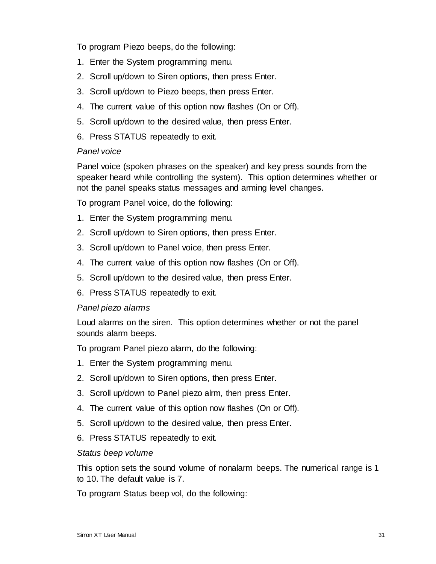To program Piezo beeps, do the following:

- 1. Enter the System programming menu.
- 2. Scroll up/down to Siren options, then press Enter.
- 3. Scroll up/down to Piezo beeps, then press Enter.
- 4. The current value of this option now flashes (On or Off).
- 5. Scroll up/down to the desired value, then press Enter.
- 6. Press STATUS repeatedly to exit.

#### *Panel voice*

Panel voice (spoken phrases on the speaker) and key press sounds from the speaker heard while controlling the system). This option determines whether or not the panel speaks status messages and arming level changes.

To program Panel voice, do the following:

- 1. Enter the System programming menu.
- 2. Scroll up/down to Siren options, then press Enter.
- 3. Scroll up/down to Panel voice, then press Enter.
- 4. The current value of this option now flashes (On or Off).
- 5. Scroll up/down to the desired value, then press Enter.
- 6. Press STATUS repeatedly to exit.

#### *Panel piezo alarms*

Loud alarms on the siren. This option determines whether or not the panel sounds alarm beeps.

To program Panel piezo alarm, do the following:

- 1. Enter the System programming menu.
- 2. Scroll up/down to Siren options, then press Enter.
- 3. Scroll up/down to Panel piezo alrm, then press Enter.
- 4. The current value of this option now flashes (On or Off).
- 5. Scroll up/down to the desired value, then press Enter.
- 6. Press STATUS repeatedly to exit.

#### *Status beep volume*

This option sets the sound volume of nonalarm beeps. The numerical range is 1 to 10. The default value is 7.

To program Status beep vol, do the following: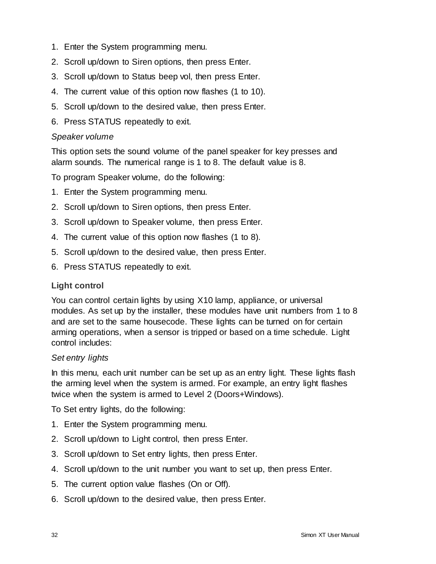- 1. Enter the System programming menu.
- 2. Scroll up/down to Siren options, then press Enter.
- 3. Scroll up/down to Status beep vol, then press Enter.
- 4. The current value of this option now flashes (1 to 10).
- 5. Scroll up/down to the desired value, then press Enter.
- 6. Press STATUS repeatedly to exit.

#### *Speaker volume*

This option sets the sound volume of the panel speaker for key presses and alarm sounds. The numerical range is 1 to 8. The default value is 8.

To program Speaker volume, do the following:

- 1. Enter the System programming menu.
- 2. Scroll up/down to Siren options, then press Enter.
- 3. Scroll up/down to Speaker volume, then press Enter.
- 4. The current value of this option now flashes (1 to 8).
- 5. Scroll up/down to the desired value, then press Enter.
- 6. Press STATUS repeatedly to exit.

#### **Light control**

You can control certain lights by using X10 lamp, appliance, or universal modules. As set up by the installer, these modules have unit numbers from 1 to 8 and are set to the same housecode. These lights can be turned on for certain arming operations, when a sensor is tripped or based on a time schedule. Light control includes:

#### *Set entry lights*

In this menu, each unit number can be set up as an entry light. These lights flash the arming level when the system is armed. For example, an entry light flashes twice when the system is armed to Level 2 (Doors+Windows).

To Set entry lights, do the following:

- 1. Enter the System programming menu.
- 2. Scroll up/down to Light control, then press Enter.
- 3. Scroll up/down to Set entry lights, then press Enter.
- 4. Scroll up/down to the unit number you want to set up, then press Enter.
- 5. The current option value flashes (On or Off).
- 6. Scroll up/down to the desired value, then press Enter.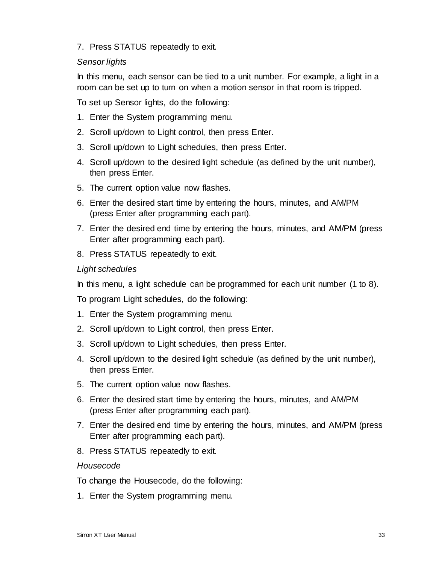7. Press STATUS repeatedly to exit.

#### *Sensor lights*

In this menu, each sensor can be tied to a unit number. For example, a light in a room can be set up to turn on when a motion sensor in that room is tripped.

To set up Sensor lights, do the following:

- 1. Enter the System programming menu.
- 2. Scroll up/down to Light control, then press Enter.
- 3. Scroll up/down to Light schedules, then press Enter.
- 4. Scroll up/down to the desired light schedule (as defined by the unit number), then press Enter.
- 5. The current option value now flashes.
- 6. Enter the desired start time by entering the hours, minutes, and AM/PM (press Enter after programming each part).
- 7. Enter the desired end time by entering the hours, minutes, and AM/PM (press Enter after programming each part).
- 8. Press STATUS repeatedly to exit.

#### *Light schedules*

In this menu, a light schedule can be programmed for each unit number (1 to 8).

To program Light schedules, do the following:

- 1. Enter the System programming menu.
- 2. Scroll up/down to Light control, then press Enter.
- 3. Scroll up/down to Light schedules, then press Enter.
- 4. Scroll up/down to the desired light schedule (as defined by the unit number), then press Enter.
- 5. The current option value now flashes.
- 6. Enter the desired start time by entering the hours, minutes, and AM/PM (press Enter after programming each part).
- 7. Enter the desired end time by entering the hours, minutes, and AM/PM (press Enter after programming each part).
- 8. Press STATUS repeatedly to exit.

#### *Housecode*

To change the Housecode, do the following:

1. Enter the System programming menu.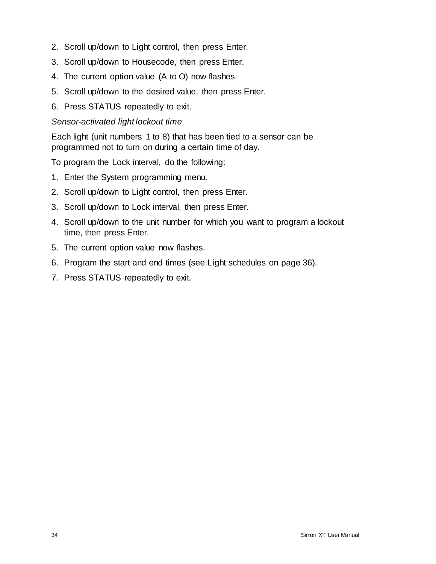- 2. Scroll up/down to Light control, then press Enter.
- 3. Scroll up/down to Housecode, then press Enter.
- 4. The current option value (A to O) now flashes.
- 5. Scroll up/down to the desired value, then press Enter.
- 6. Press STATUS repeatedly to exit.

#### *Sensor-activated light lockout time*

Each light (unit numbers 1 to 8) that has been tied to a sensor can be programmed not to turn on during a certain time of day.

To program the Lock interval, do the following:

- 1. Enter the System programming menu.
- 2. Scroll up/down to Light control, then press Enter.
- 3. Scroll up/down to Lock interval, then press Enter.
- 4. Scroll up/down to the unit number for which you want to program a lockout time, then press Enter.
- 5. The current option value now flashes.
- 6. Program the start and end times (see Light schedules on page 36).
- 7. Press STATUS repeatedly to exit.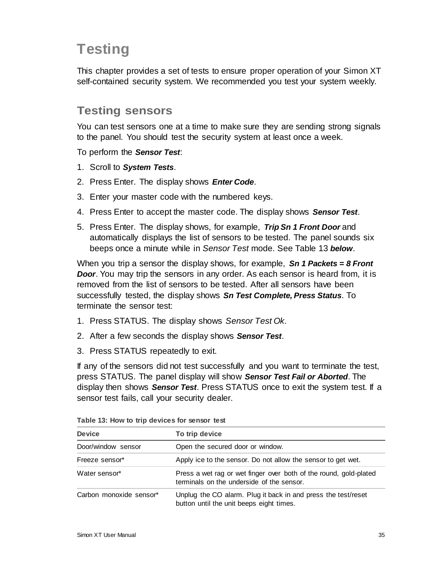# **Testing**

This chapter provides a set of tests to ensure proper operation of your Simon XT self-contained security system. We recommended you test your system weekly.

### **Testing sensors**

You can test sensors one at a time to make sure they are sending strong signals to the panel. You should test the security system at least once a week.

To perform the *Sensor Test*:

- 1. Scroll to *System Tests*.
- 2. Press Enter. The display shows *Enter Code*.
- 3. Enter your master code with the numbered keys.
- 4. Press Enter to accept the master code. The display shows *Sensor Test*.
- 5. Press Enter. The display shows, for example, *Trip Sn 1 Front Door* and automatically displays the list of sensors to be tested. The panel sounds six beeps once a minute while in *Sensor Test* mode. See Table 13 *below*.

When you trip a sensor the display shows, for example, *Sn 1 Packets = 8 Front Door.* You may trip the sensors in any order. As each sensor is heard from, it is removed from the list of sensors to be tested. After all sensors have been successfully tested, the display shows *Sn Test Complete, Press Status*. To terminate the sensor test:

- 1. Press STATUS. The display shows *Sensor Test Ok*.
- 2. After a few seconds the display shows *Sensor Test*.
- 3. Press STATUS repeatedly to exit.

If any of the sensors did not test successfully and you want to terminate the test, press STATUS. The panel display will show *Sensor Test Fail or Aborted*. The display then shows *Sensor Test*. Press STATUS once to exit the system test. If a sensor test fails, call your security dealer.

| <b>Device</b>           | To trip device                                                                                                 |
|-------------------------|----------------------------------------------------------------------------------------------------------------|
| Door/window sensor      | Open the secured door or window.                                                                               |
| Freeze sensor*          | Apply ice to the sensor. Do not allow the sensor to get wet.                                                   |
| Water sensor*           | Press a wet rag or wet finger over both of the round, gold-plated<br>terminals on the underside of the sensor. |
| Carbon monoxide sensor* | Unplug the CO alarm. Plug it back in and press the test/reset<br>button until the unit beeps eight times.      |

**Table 13: How to trip devices for sensor test**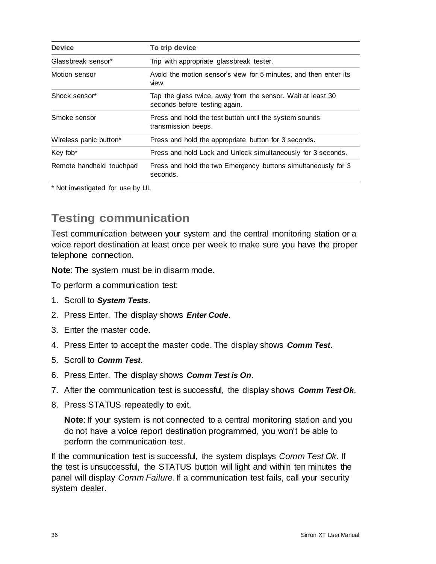| <b>Device</b>            | To trip device                                                                               |
|--------------------------|----------------------------------------------------------------------------------------------|
| Glassbreak sensor*       | Trip with appropriate glassbreak tester.                                                     |
| Motion sensor            | Avoid the motion sensor's view for 5 minutes, and then enter its<br>view.                    |
| Shock sensor*            | Tap the glass twice, away from the sensor. Wait at least 30<br>seconds before testing again. |
| Smoke sensor             | Press and hold the test button until the system sounds<br>transmission beeps.                |
| Wireless panic button*   | Press and hold the appropriate button for 3 seconds.                                         |
| Key fob <sup>*</sup>     | Press and hold Lock and Unlock simultaneously for 3 seconds.                                 |
| Remote handheld touchpad | Press and hold the two Emergency buttons simultaneously for 3<br>seconds.                    |

\* Not investigated for use by UL

### **Testing communication**

Test communication between your system and the central monitoring station or a voice report destination at least once per week to make sure you have the proper telephone connection.

**Note**: The system must be in disarm mode.

To perform a communication test:

- 1. Scroll to *System Tests*.
- 2. Press Enter. The display shows *Enter Code*.
- 3. Enter the master code.
- 4. Press Enter to accept the master code. The display shows *Comm Test*.
- 5. Scroll to *Comm Test*.
- 6. Press Enter. The display shows *Comm Test is On*.
- 7. After the communication test is successful, the display shows *Comm Test Ok*.
- 8. Press STATUS repeatedly to exit.

**Note:** If your system is not connected to a central monitoring station and you do not have a voice report destination programmed, you won't be able to perform the communication test.

If the communication test is successful, the system displays *Comm Test Ok*. If the test is unsuccessful, the STATUS button will light and within ten minutes the panel will display *Comm Failure*. If a communication test fails, call your security system dealer.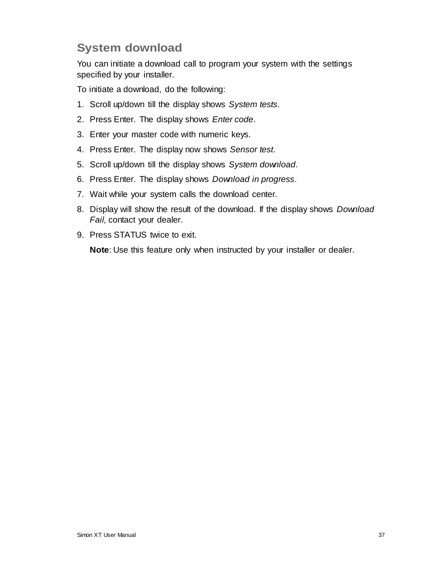### **System download**

You can initiate a download call to program your system with the settings specified by your installer.

To initiate a download, do the following:

- 1. Scroll up/down till the display shows *System tests*.
- 2. Press Enter. The display shows *Enter code*.
- 3. Enter your master code with numeric keys.
- 4. Press Enter. The display now shows *Sensor test*.
- 5. Scroll up/down till the display shows *System download*.
- 6. Press Enter. The display shows *Download in progress*.
- 7. Wait while your system calls the download center.
- 8. Display will show the result of the download. If the display shows *Download Fail,* contact your dealer.
- 9. Press STATUS twice to exit.

**Note**: Use this feature only when instructed by your installer or dealer.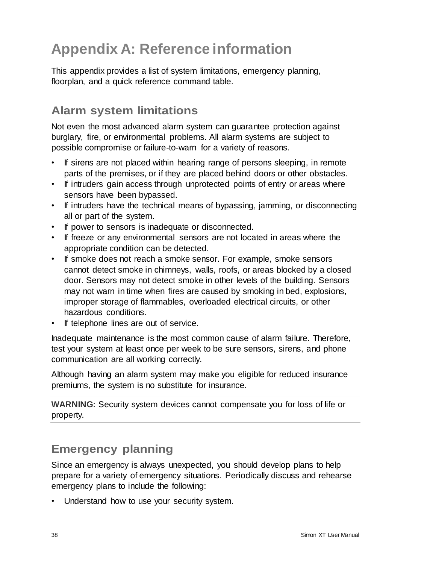# **Appendix A: Reference information**

This appendix provides a list of system limitations, emergency planning, floorplan, and a quick reference command table.

### **Alarm system limitations**

Not even the most advanced alarm system can guarantee protection against burglary, fire, or environmental problems. All alarm systems are subject to possible compromise or failure-to-warn for a variety of reasons.

- If sirens are not placed within hearing range of persons sleeping, in remote parts of the premises, or if they are placed behind doors or other obstacles.
- If intruders gain access through unprotected points of entry or areas where sensors have been bypassed.
- If intruders have the technical means of bypassing, jamming, or disconnecting all or part of the system.
- If power to sensors is inadequate or disconnected.
- If freeze or any environmental sensors are not located in areas where the appropriate condition can be detected.
- If smoke does not reach a smoke sensor. For example, smoke sensors cannot detect smoke in chimneys, walls, roofs, or areas blocked by a closed door. Sensors may not detect smoke in other levels of the building. Sensors may not warn in time when fires are caused by smoking in bed, explosions, improper storage of flammables, overloaded electrical circuits, or other hazardous conditions.
- If telephone lines are out of service.

Inadequate maintenance is the most common cause of alarm failure. Therefore, test your system at least once per week to be sure sensors, sirens, and phone communication are all working correctly.

Although having an alarm system may make you eligible for reduced insurance premiums, the system is no substitute for insurance.

**WARNING:** Security system devices cannot compensate you for loss of life or property.

### **Emergency planning**

Since an emergency is always unexpected, you should develop plans to help prepare for a variety of emergency situations. Periodically discuss and rehearse emergency plans to include the following:

Understand how to use your security system.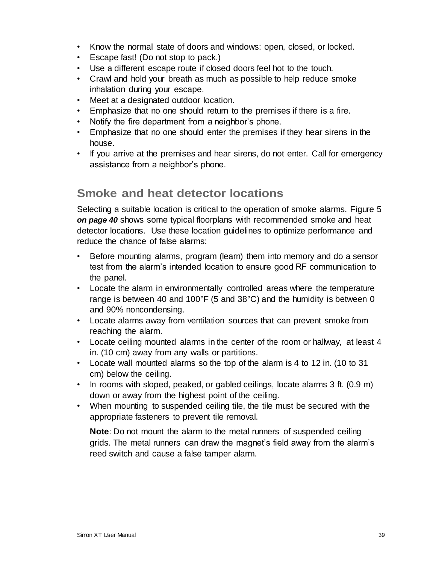- Know the normal state of doors and windows: open, closed, or locked.
- Escape fast! (Do not stop to pack.)
- Use a different escape route if closed doors feel hot to the touch.
- Crawl and hold your breath as much as possible to help reduce smoke inhalation during your escape.
- Meet at a designated outdoor location.
- Emphasize that no one should return to the premises if there is a fire.
- Notify the fire department from a neighbor's phone.
- Emphasize that no one should enter the premises if they hear sirens in the house.
- If you arrive at the premises and hear sirens, do not enter. Call for emergency assistance from a neighbor's phone.

### **Smoke and heat detector locations**

Selecting a suitable location is critical to the operation of smoke alarms. Figure 5 *on page 40* shows some typical floorplans with recommended smoke and heat detector locations. Use these location guidelines to optimize performance and reduce the chance of false alarms:

- Before mounting alarms, program (learn) them into memory and do a sensor test from the alarm's intended location to ensure good RF communication to the panel.
- Locate the alarm in environmentally controlled areas where the temperature range is between 40 and 100°F (5 and 38°C) and the humidity is between 0 and 90% noncondensing.
- Locate alarms away from ventilation sources that can prevent smoke from reaching the alarm.
- Locate ceiling mounted alarms in the center of the room or hallway, at least 4 in. (10 cm) away from any walls or partitions.
- Locate wall mounted alarms so the top of the alarm is 4 to 12 in. (10 to 31 cm) below the ceiling.
- In rooms with sloped, peaked, or gabled ceilings, locate alarms 3 ft. (0.9 m) down or away from the highest point of the ceiling.
- When mounting to suspended ceiling tile, the tile must be secured with the appropriate fasteners to prevent tile removal.

**Note**: Do not mount the alarm to the metal runners of suspended ceiling grids. The metal runners can draw the magnet's field away from the alarm's reed switch and cause a false tamper alarm.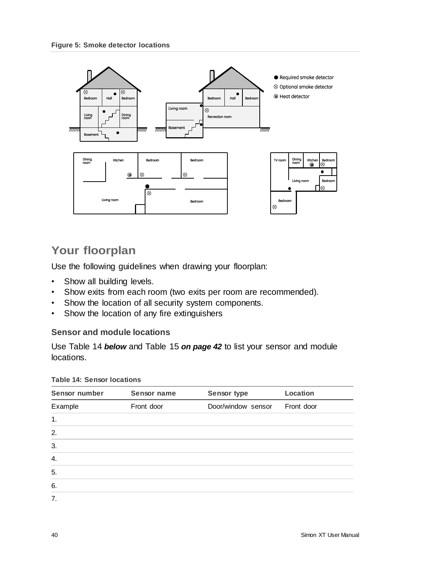

### **Your floorplan**

Use the following guidelines when drawing your floorplan:

- Show all building levels.
- Show exits from each room (two exits per room are recommended).
- Show the location of all security system components.
- Show the location of any fire extinguishers

#### **Sensor and module locations**

Use Table 14 *below* and Table 15 *on page 42* to list your sensor and module locations.

| Sensor number | Sensor name | Sensor type        | <b>Location</b> |
|---------------|-------------|--------------------|-----------------|
| Example       | Front door  | Door/window sensor | Front door      |
| 1.            |             |                    |                 |
| 2.            |             |                    |                 |
| 3.            |             |                    |                 |
| 4.            |             |                    |                 |
| 5.            |             |                    |                 |
| 6.            |             |                    |                 |
| 7.            |             |                    |                 |

#### **Table 14: Sensor locations**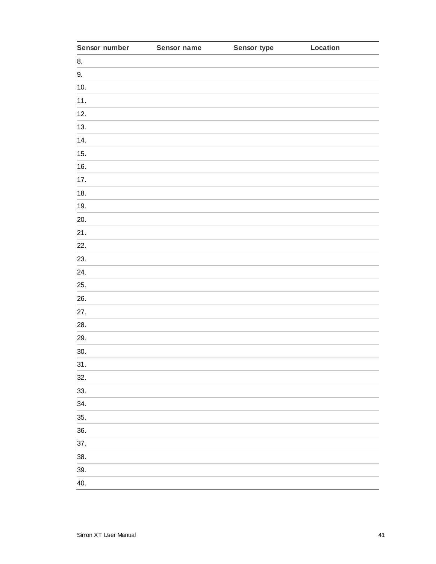| Sensor number | Sensor name | Sensor type | Location |
|---------------|-------------|-------------|----------|
| 8.            |             |             |          |
| 9.            |             |             |          |
| 10.           |             |             |          |
| 11.           |             |             |          |
| 12.           |             |             |          |
| 13.           |             |             |          |
| 14.           |             |             |          |
| 15.           |             |             |          |
| 16.           |             |             |          |
| 17.           |             |             |          |
| 18.           |             |             |          |
| 19.           |             |             |          |
| 20.           |             |             |          |
| 21.           |             |             |          |
| 22.           |             |             |          |
| 23.           |             |             |          |
| 24.           |             |             |          |
| 25.           |             |             |          |
| 26.           |             |             |          |
| 27.           |             |             |          |
| 28.           |             |             |          |
| 29.           |             |             |          |
| 30.           |             |             |          |
| 31.           |             |             |          |
| 32.           |             |             |          |
| 33.           |             |             |          |
| 34.           |             |             |          |
| 35.           |             |             |          |
| 36.           |             |             |          |
| 37.           |             |             |          |
| 38.           |             |             |          |
| 39.           |             |             |          |
| 40.           |             |             |          |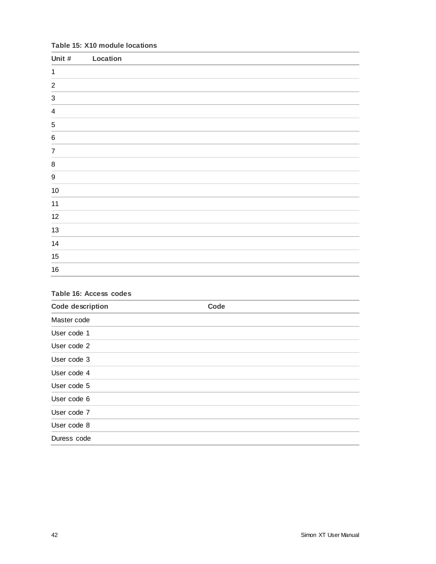#### **Table 15: X10 module locations**

| Unit #                    | Location |
|---------------------------|----------|
| $\mathbf{1}$              |          |
| $\overline{2}$            |          |
| $\ensuremath{\mathsf{3}}$ |          |
| $\overline{\mathbf{4}}$   |          |
| $\,$ 5 $\,$               |          |
| $\,6\,$                   |          |
| $\overline{7}$            |          |
| $\bf 8$                   |          |
| $\boldsymbol{9}$          |          |
| $10$                      |          |
| 11                        |          |
| 12                        |          |
| $13$                      |          |
| 14                        |          |
| 15                        |          |
| $16\,$                    |          |

### **Table 16: Access codes Code description Code** Master code User code 1 User code 2 User code 3 User code 4 User code 5 User code 6 User code 7 User code 8 Duress code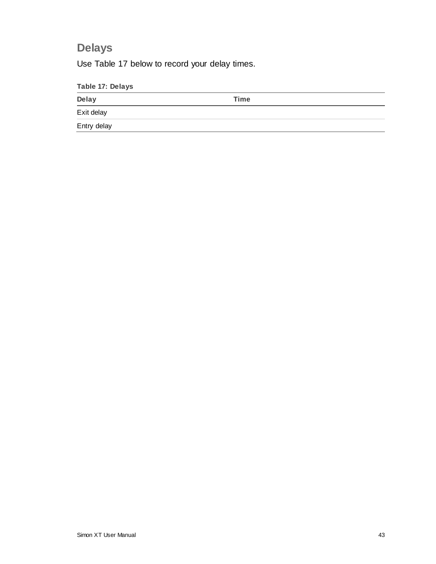### **Delays**

Use Table 17 below to record your delay times.

| Table 17: Delays |      |  |
|------------------|------|--|
| Delay            | Time |  |
| Exit delay       |      |  |
| Entry delay      |      |  |
|                  |      |  |